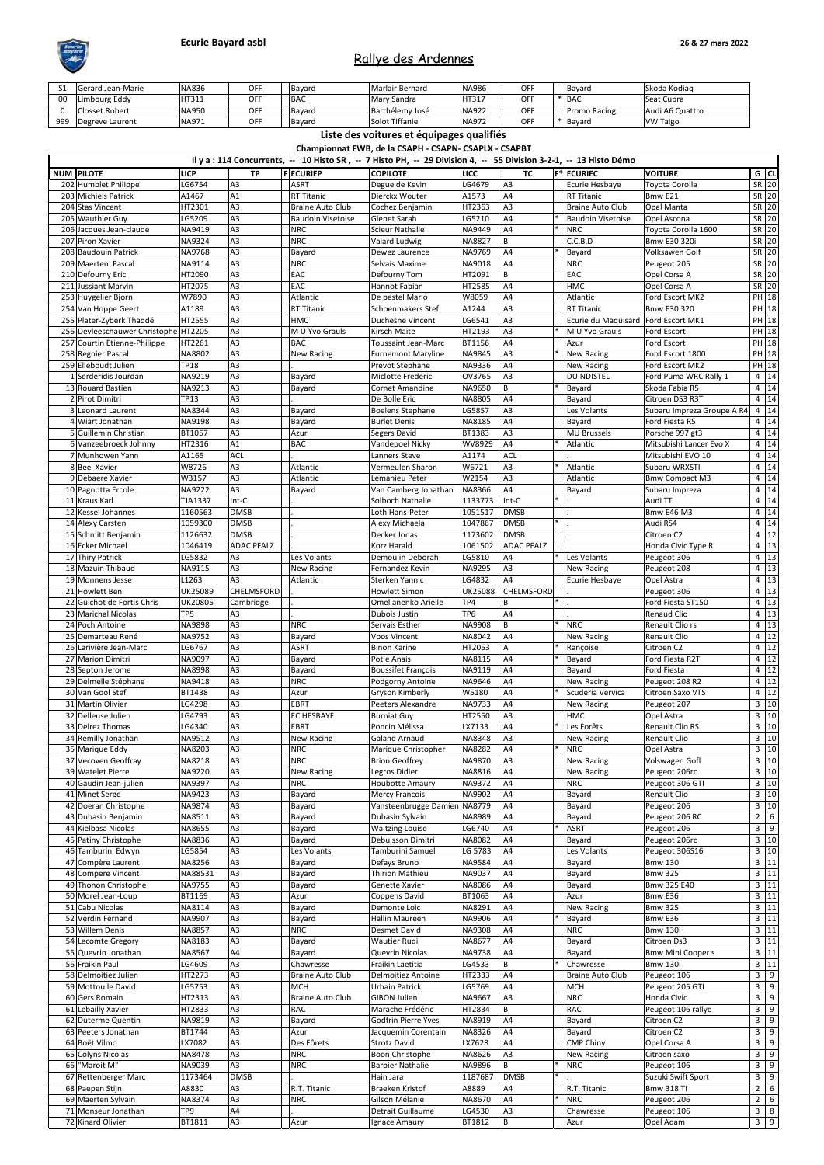| ᇰᆂ  | <b>IGerard Jean-Marie</b> | <b>NA836</b> | <b>OFF</b> | lBavard         | <b>IMarlair Bernard</b> | NA986 | OFF       | <b>Bavard</b>       | Skoda Kodiag    |
|-----|---------------------------|--------------|------------|-----------------|-------------------------|-------|-----------|---------------------|-----------------|
|     | <b>Limbourg Eddy</b>      | <b>HT311</b> | <b>OFF</b> | <b>IBAC</b>     | <b>I</b> Mary Sandra    | HT317 | OEE<br>◡┍ | <b>BAC</b>          | Seat Cupra      |
|     | <b>Closset Robert</b>     | <b>NA950</b> | OFF        | <b>Bavard</b>   | Barthélemy José         | NA922 | OFF       | <b>Promo Racing</b> | Audi A6 Quattro |
| 999 | Degreve Laurent           | <b>NA971</b> | <b>OFF</b> | <b>I</b> Bavard | <b>Solot Tiffanie</b>   | NA972 | OFF       | <b>IBavaro</b>      | <b>VW Taigo</b> |

|                                         |                          |                                  |                           | Il y a : 114 Concurrents, -- 10 Histo SR, -- 7 Histo PH, -- 29 Division 4, -- 55 Division 3-2-1, -- 13 Histo Démo |                         |                      |        |                                     |                                        |                |                         |
|-----------------------------------------|--------------------------|----------------------------------|---------------------------|-------------------------------------------------------------------------------------------------------------------|-------------------------|----------------------|--------|-------------------------------------|----------------------------------------|----------------|-------------------------|
| <b>NUM PILOTE</b>                       | <b>LICP</b>              | <b>TP</b>                        | <b>FECURIEP</b>           | <b>COPILOTE</b>                                                                                                   | <b>LICC</b>             | <b>TC</b>            |        | <b>F*</b> ECURIEC                   | <b>VOITURE</b>                         |                | $G$ CL                  |
| 202 Humblet Philippe                    | LG6754                   | A3                               | <b>ASRT</b>               | Deguelde Kevin                                                                                                    | LG4679                  | A3                   |        | Ecurie Hesbaye                      | Toyota Corolla                         |                | $SR$ 20                 |
| 203 Michiels Patrick                    | A1467                    | A1                               | <b>RT Titanic</b>         | Dierckx Wouter                                                                                                    | A1573                   | A4                   |        | <b>RT Titanic</b>                   | Bmw E21                                |                | SR 20                   |
| 204 Stas Vincent                        | HT2301                   | A3                               | Braine Auto Club          | Cochez Benjamin                                                                                                   | HT2363                  | A3                   |        | <b>Braine Auto Club</b>             | <b>Opel Manta</b>                      |                | $SR$ 20                 |
| 205 Wauthier Guy                        | LG5209                   | A3                               | <b>Baudoin Visetoise</b>  | Glenet Sarah                                                                                                      | LG5210                  | A4                   |        | <b>Baudoin Visetoise</b>            | Opel Ascona                            |                | SR 20                   |
| 206 Jacques Jean-claude                 | NA9419                   | A <sub>3</sub>                   | <b>NRC</b>                | <b>Scieur Nathalie</b>                                                                                            | NA9449                  | A4                   |        | <b>NRC</b>                          | Toyota Corolla 1600                    |                | SR 20                   |
| 207 Piron Xavier                        | NA9324                   | A <sub>3</sub>                   | <b>NRC</b>                | Valard Ludwig                                                                                                     | <b>NA8827</b>           | B                    |        | C.C.B.D                             | <b>Bmw E30 320i</b>                    |                | SR 20                   |
| 208 Baudouin Patrick                    | NA9768                   | A <sub>3</sub>                   | Bayard                    | Dewez Laurence                                                                                                    | NA9769                  | A4                   |        | Bayard                              | Volksawen Golf                         |                | SR 20                   |
| 209 Maerten Pascal<br>210 Defourny Eric | NA9114<br>HT2090         | A <sub>3</sub><br>A3             | <b>NRC</b><br><b>EAC</b>  | Selvais Maxime<br>Defourny Tom                                                                                    | NA9018<br>HT2091        | A4<br>B              |        | <b>NRC</b><br><b>EAC</b>            | Peugeot 205<br>Opel Corsa A            |                | SR 20<br>$SR$ 20        |
| 211 Jussiant Marvin                     | HT2075                   | A3                               | <b>EAC</b>                | Hannot Fabian                                                                                                     | <b>HT2585</b>           | A4                   |        | <b>HMC</b>                          | Opel Corsa A                           |                | SR 20                   |
| 253 Huygelier Bjorn                     | W7890                    | A3                               | Atlantic                  | De pestel Mario                                                                                                   | W8059                   | A4                   |        | Atlantic                            | Ford Escort MK2                        |                | PH 18                   |
| 254 Van Hoppe Geert                     | A1189                    | A <sub>3</sub>                   | <b>RT Titanic</b>         | Schoenmakers Stef                                                                                                 | A1244                   | A <sub>3</sub>       |        | <b>RT Titanic</b>                   | <b>Bmw E30 320</b>                     |                | PH 18                   |
| 255 Plater-Zyberk Thaddé                | HT2555                   | A3                               | <b>HMC</b>                | <b>Duchesne Vincent</b>                                                                                           | LG6541                  | A3                   |        | Ecurie du Maquisard Ford Escort MK1 |                                        |                | PH 18                   |
| 256 Devleeschauwer Christophe HT2205    |                          | A <sub>3</sub>                   | M U Yvo Grauls            | Kirsch Maite                                                                                                      | HT2193                  | A3                   |        | M U Yvo Grauls                      | <b>Ford Escort</b>                     |                | PH 18                   |
| 257 Courtin Etienne-Philippe            | HT2261                   | A3                               | <b>BAC</b>                | <b>Toussaint Jean-Marc</b>                                                                                        | <b>BT1156</b>           | A4                   |        | Azur                                | <b>Ford Escort</b>                     |                | $PH$ 18                 |
| 258 Regnier Pascal                      | NA8802                   | A3                               | New Racing                | <b>Furnemont Maryline</b>                                                                                         | <b>NA9845</b>           | A <sub>3</sub>       |        | <b>New Racing</b>                   | Ford Escort 1800                       |                | PH 18                   |
| 259 Elleboudt Julien                    | <b>TP18</b>              | A3                               |                           | Prevot Stephane                                                                                                   | NA9336                  | A4                   |        | New Racing                          | Ford Escort MK2                        |                | PH 18                   |
| 1 Serderidis Jourdan                    | NA9219                   | A <sub>3</sub>                   | Bayard                    | Miclotte Frederic                                                                                                 | OV3765                  | A <sub>3</sub>       |        | <b>DUINDISTEL</b>                   | Ford Puma WRC Rally 1                  |                | 4 14                    |
| 13 Rouard Bastien                       | NA9213                   | A3                               | Bayard                    | Cornet Amandine                                                                                                   | NA9650                  | B                    |        | Bayard                              | Skoda Fabia R5                         |                | 4 14                    |
| 2 Pirot Dimitri                         | <b>TP13</b>              | A3                               |                           | De Bolle Eric                                                                                                     | <b>NA8805</b>           | A4                   |        | Bayard                              | Citroen DS3 R3T                        |                | 4 14                    |
| 3 Leonard Laurent                       | NA8344                   | A <sub>3</sub>                   | Bayard                    | Boelens Stephane                                                                                                  | LG5857                  | A <sub>3</sub>       |        | Les Volants                         | Subaru Impreza Groupe A R4             |                | $4 \mid 14$             |
| 4 Wiart Jonathan                        | NA9198                   | A <sub>3</sub>                   | Bayard                    | <b>Burlet Denis</b>                                                                                               | NA8185                  | A4                   |        | Bayard                              | Ford Fiesta R5                         |                | 4 14                    |
| 5 Guillemin Christian                   | BT1057                   | A <sub>3</sub>                   | Azur                      | Segers David                                                                                                      | <b>BT1383</b>           | A <sub>3</sub>       |        | <b>MU Brussels</b>                  | Porsche 997 gt3                        |                | 4 14                    |
| 6 Vanzeebroeck Johnny                   | HT2316                   | A1                               | <b>BAC</b>                | Vandepoel Nicky                                                                                                   | WV8929                  | A4                   |        | Atlantic                            | Mitsubishi Lancer Evo X                |                | $4 \mid 14$             |
| 7 Munhowen Yann                         | A1165                    | <b>ACL</b>                       |                           | Lanners Steve                                                                                                     | A1174                   | <b>ACL</b>           |        |                                     | Mitsubishi EVO 10                      |                | 4 14                    |
| 8 Beel Xavier                           | W8726                    | A3                               | Atlantic                  | Vermeulen Sharon                                                                                                  | W6721                   | A3                   |        | Atlantic                            | Subaru WRXSTI                          |                | 4 14                    |
| 9 Debaere Xavier                        | W3157                    | A <sub>3</sub>                   | Atlantic                  | Lemahieu Peter                                                                                                    | W2154                   | A3                   |        | Atlantic                            | <b>Bmw Compact M3</b>                  |                | $4 \mid 14$             |
| 10 Pagnotta Ercole<br>11 Kraus Karl     | NA9222<br><b>TJA1337</b> | A3<br>$Int-C$                    | Bayard                    | Van Camberg Jonathan<br>Solboch Nathalie                                                                          | NA8366<br>1133773       | A4<br>Int-C          |        | Bayard                              | Subaru Impreza<br>Audi TT              |                | 4 14<br>$4 \mid 14$     |
| 12 Kessel Johannes                      | 1160563                  | <b>DMSB</b>                      |                           | Loth Hans-Peter                                                                                                   | 1051517                 | <b>DMSB</b>          |        |                                     | Bmw E46 M3                             |                | $4 \overline{)14}$      |
| 14 Alexy Carsten                        | 1059300                  | <b>DMSB</b>                      |                           | Alexy Michaela                                                                                                    | 1047867                 | <b>DMSB</b>          | $\ast$ |                                     | Audi RS4                               |                | $4 \mid 14$             |
| 15 Schmitt Benjamin                     | 1126632                  | <b>DMSB</b>                      |                           | Decker Jonas                                                                                                      | 1173602                 | <b>DMSB</b>          |        |                                     | Citroen C2                             |                | 4 12                    |
| 16 Ecker Michael                        | 1046419                  | <b>ADAC PFALZ</b>                |                           | <b>Korz Harald</b>                                                                                                | 1061502                 | <b>ADAC PFALZ</b>    |        |                                     | Honda Civic Type R                     | $\overline{4}$ | 13                      |
| 17 Thiry Patrick                        | LG5832                   | A <sub>3</sub>                   | Les Volants               | Demoulin Deborah                                                                                                  | LG5810                  | A4                   |        | Les Volants                         | Peugeot 306                            | $\overline{4}$ | 13                      |
| 18 Mazuin Thibaud                       | NA9115                   | A <sub>3</sub>                   | New Racing                | Fernandez Kevin                                                                                                   | NA9295                  | A <sub>3</sub>       |        | <b>New Racing</b>                   | Peugeot 208                            | $\overline{4}$ | 13                      |
| 19 Monnens Jesse                        | L1263                    | A <sub>3</sub>                   | Atlantic                  | Sterken Yannic                                                                                                    | LG4832                  | A4                   |        | Ecurie Hesbaye                      | Opel Astra                             | $\overline{4}$ | 13                      |
| 21 Howlett Ben                          | UK25089                  | CHELMSFORD                       |                           | <b>Howlett Simon</b>                                                                                              | <b>UK25088</b>          | <b>CHELMSFORD</b>    |        |                                     | Peugeot 306                            |                | 4 13                    |
| 22 Guichot de Fortis Chris              | UK20805                  | Cambridge                        |                           | Omelianenko Arielle                                                                                               | TP4                     | B                    |        |                                     | Ford Fiesta ST150                      | $\overline{4}$ | 13                      |
| 23 Marichal Nicolas                     | TP <sub>5</sub>          | A3                               |                           | Dubois Justin                                                                                                     | TP <sub>6</sub>         | A4                   |        |                                     | <b>Renaud Clio</b>                     | $\overline{4}$ | 13                      |
| 24 Poch Antoine                         | NA9898                   | A <sub>3</sub>                   | <b>NRC</b>                | Servais Esther                                                                                                    | NA9908                  | B                    |        | <b>NRC</b>                          | Renault Clio rs                        | 4              | $\overline{13}$         |
| 25 Demarteau René                       | NA9752                   | A <sub>3</sub>                   | Bayard                    | Voos Vincent                                                                                                      | NA8042                  | AA                   |        | New Racing                          | <b>Renault Clio</b>                    | $\overline{4}$ | 12                      |
| 26 Larivière Jean-Marc                  | LG6767                   | A <sub>3</sub>                   | <b>ASRT</b>               | <b>Binon Karine</b>                                                                                               | HT2053                  |                      |        | Rançoise                            | Citroen C2                             | $\overline{4}$ | 12                      |
| 27 Marion Dimitri                       | NA9097                   | A <sub>3</sub>                   | Bayard                    | <b>Potie Anais</b>                                                                                                | NA8115                  | A4                   |        | Bayard                              | Ford Fiesta R2T                        | $\overline{4}$ | 12                      |
| 28 Septon Jerome                        | NA8998                   | A <sub>3</sub>                   | Bayard                    | <b>Boussifet François</b>                                                                                         | NA9119                  | AA                   |        | Bayard                              | Ford Fiesta                            | $\overline{4}$ | 12                      |
| 29 Delmelle Stéphane                    | NA9418                   | A <sub>3</sub>                   | <b>NRC</b>                | Podgorny Antoine                                                                                                  | NA9646                  | Α4                   |        | <b>New Racing</b>                   | Peugeot 208 R2                         | $\overline{4}$ | 12                      |
| 30 Van Gool Stef                        | BT1438                   | A <sub>3</sub>                   | Azur                      | <b>Gryson Kimberly</b>                                                                                            | W5180                   | A4                   |        | Scuderia Vervica                    | Citroen Saxo VTS                       |                | $4 \mid 12$             |
| 31 Martin Olivier                       | LG4298                   | A <sub>3</sub>                   | EBRT                      | Peeters Alexandre                                                                                                 | <b>NA9733</b>           | A4                   |        | New Racing                          | Peugeot 207                            | 3 <sup>1</sup> | 10                      |
| 32 Delleuse Julien<br>33 Delrez Thomas  | LG4793<br>LG4340         | A3<br>A <sub>3</sub>             | <b>EC HESBAYE</b>         | <b>Burniat Guy</b>                                                                                                | HT2550                  | A <sub>3</sub><br>A4 |        | <b>HMC</b>                          | Opel Astra                             | 3 <sup>1</sup> | 10<br>$\overline{3}$ 10 |
| 34 Remilly Jonathan                     | NA9512                   | A3                               | <b>EBRT</b><br>New Racing | Poncin Mélissa<br><b>Galand Arnaud</b>                                                                            | LX7133<br><b>NA8348</b> | A3                   |        | Les Forêts<br><b>New Racing</b>     | Renault Clio RS<br><b>Renault Clio</b> | 3 <sup>1</sup> | 10                      |
| 35 Marique Eddy                         | NA8203                   | A3                               | <b>NRC</b>                | Marique Christopher                                                                                               | <b>NA8282</b>           | A4                   |        | <b>NRC</b>                          | Opel Astra                             | 3 <sup>1</sup> | 10                      |
| 37 Vecoven Geoffray                     | NA8218                   | A <sub>3</sub>                   | <b>NRC</b>                | <b>Brion Geoffrey</b>                                                                                             | NA9870                  | A <sub>3</sub>       |        | <b>New Racing</b>                   | Volswagen Gofl                         |                | 3 10                    |
| 39 Watelet Pierre                       | NA9220                   | A3                               | New Racing                | Legros Didier                                                                                                     | NA8816                  | A4                   |        | <b>New Racing</b>                   | Peugeot 206rc                          | 3 <sup>1</sup> | 10                      |
| 40 Gaudin Jean-julien                   | NA9397                   | A <sub>3</sub>                   | <b>NRC</b>                | Houbotte Amaury                                                                                                   | NA9372                  | Α4                   |        | <b>NRC</b>                          | Peugeot 306 GTI                        |                | 3 10                    |
| 41 Minet Serge                          | NA9423                   | A <sub>3</sub>                   | Bayard                    | Mercy Francois                                                                                                    | NA9902                  | A4                   |        | Bayard                              | <b>Renault Clio</b>                    |                | 3 10                    |
| 42 Doeran Christophe                    | NA9874                   | A3                               | Bayard                    | Vansteenbrugge Damien NA8779                                                                                      |                         | A4                   |        | Bayard                              | Peugeot 206                            | $\mathbf{3}$   | 10                      |
| 43 Dubasin Benjamin                     | NA8511                   | A <sub>3</sub>                   | Bayard                    | Dubasin Sylvain                                                                                                   | NA8989                  | A4                   |        | Bayard                              | Peugeot 206 RC                         | $\overline{2}$ | 6                       |
| 44 Kielbasa Nicolas                     | NA8655                   | A <sub>3</sub>                   | Bayard                    | <b>Waltzing Louise</b>                                                                                            | LG6740                  | A4                   |        | <b>ASRT</b>                         | Peugeot 206                            | $\overline{3}$ | 9                       |
| 45 Patiny Christophe                    | NA8836                   | A3                               | Bayard                    | Debuisson Dimitri                                                                                                 | NA8082                  | AA                   |        | Bayard                              | Peugeot 206rc                          | $\mathbf{3}$   | 10                      |
| 46 Tamburini Edwyn                      | LG5854                   | A <sub>3</sub>                   | Les Volants               | Tamburini Samuel                                                                                                  | LG 5783                 | A4                   |        | Les Volants                         | Peugeot 306S16                         |                | 3 10                    |
| 47 Compère Laurent                      | NA8256                   | A <sub>3</sub>                   | Bayard                    | Defays Bruno                                                                                                      | <b>NA9584</b>           | A4                   |        | Bayard                              | <b>Bmw 130</b>                         |                | 3 11                    |
| 48 Compere Vincent                      | NA88531                  | A <sub>3</sub>                   | Bayard                    | Thirion Mathieu                                                                                                   | NA9037                  | A4                   |        | Bayard                              | <b>Bmw 325</b>                         | $\overline{3}$ | 11                      |
| 49 Thonon Christophe                    | NA9755                   | A <sub>3</sub>                   | Bayard                    | Genette Xavier                                                                                                    | NA8086                  | A4                   |        | Bayard                              | <b>Bmw 325 E40</b>                     |                | 3 11                    |
| 50 Morel Jean-Loup                      | <b>BT1169</b>            | A <sub>3</sub>                   | Azur                      | Coppens David                                                                                                     | BT1063                  | A4                   |        | Azur                                | Bmw E36                                |                | 3 11                    |
| 51 Cabu Nicolas                         | NA8114                   | A <sub>3</sub><br>A <sub>3</sub> | Bayard                    | Demonte Loic                                                                                                      | NA8291                  | A4                   |        | <b>New Racing</b>                   | <b>Bmw 325</b>                         |                | 3 11<br>3 11            |
| 52 Verdin Fernand<br>53 Willem Denis    | NA9907<br>NA8857         | A <sub>3</sub>                   | Bayard<br><b>NRC</b>      | Hallin Maureen<br><b>Desmet David</b>                                                                             | NA9906<br><b>NA9308</b> | A4<br>A4             |        | Bayard<br><b>NRC</b>                | Bmw E36<br><b>Bmw 130i</b>             |                | $\frac{1}{3}$  11       |
| 54 Lecomte Gregory                      | NA8183                   | A <sub>3</sub>                   | Bayard                    | <b>Wautier Rudi</b>                                                                                               | NA8677                  | A4                   |        | Bayard                              | Citroen Ds3                            |                | 3 11                    |
| 55 Quevrin Jonathan                     | NA8567                   | A4                               | Bayard                    | <b>Quevrin Nicolas</b>                                                                                            | NA9738                  | A4                   |        | Bayard                              | <b>Bmw Mini Coopers</b>                |                | 3 11                    |
| 56 Fraikin Paul                         | LG4609                   | A <sub>3</sub>                   | Chawresse                 | Fraikin Laetitia                                                                                                  | LG4533                  | B                    |        | Chawresse                           | <b>Bmw 130i</b>                        |                | 3 11                    |
| 58 Delmoitiez Julien                    | HT2273                   | A <sub>3</sub>                   | Braine Auto Club          | Delmoitiez Antoine                                                                                                | HT2333                  | A4                   |        | <b>Braine Auto Club</b>             | Peugeot 106                            | 3 <sup>7</sup> | 9                       |
| 59 Mottoulle David                      | LG5753                   | A3                               | MCH                       | <b>Urbain Patrick</b>                                                                                             | LG5769                  | A4                   |        | <b>MCH</b>                          | Peugeot 205 GTI                        | $\overline{3}$ | $\overline{9}$          |
| 60 Gers Romain                          | HT2313                   | A3                               | Braine Auto Club          | <b>GIBON Julien</b>                                                                                               | NA9667                  | A <sub>3</sub>       |        | <b>NRC</b>                          | Honda Civic                            | 3 <sup>7</sup> | $\boldsymbol{9}$        |
| 61 Lebailly Xavier                      | HT2833                   | A <sub>3</sub>                   | RAC                       | Marache Frédéric                                                                                                  | HT2834                  | B                    |        | <b>RAC</b>                          | Peugeot 106 rallye                     | $\mathbf{3}$   | 9                       |
| 62 Duterme Quentin                      | NA9819                   | A <sub>3</sub>                   | Bayard                    | <b>Godfrin Pierre Yves</b>                                                                                        | NA8919                  | A4                   |        | Bayard                              | Citroen C2                             | $\overline{3}$ | $\boldsymbol{9}$        |
| 63 Peeters Jonathan                     | <b>BT1744</b>            | A3                               | Azur                      | Jacquemin Corentain                                                                                               | NA8326                  | A4                   |        | Bayard                              | Citroen C2                             | 3 <sup>1</sup> | 9                       |
| 64 Boët Vilmo                           | LX7082                   | A <sub>3</sub>                   | Des Fôrets                | <b>Strotz David</b>                                                                                               | LX7628                  | A4                   |        | <b>CMP Chiny</b>                    | Opel Corsa A                           | $\mathbf{3}$   | $9\,$                   |
| 65 Colyns Nicolas                       | NA8478                   | A3                               | <b>NRC</b>                | Boon Christophe                                                                                                   | NA8626                  | A3                   |        | <b>New Racing</b>                   | Citroen saxo                           | $\overline{3}$ | $\boldsymbol{9}$        |
| 66 "Maroit M"                           | NA9039                   | A <sub>3</sub>                   | <b>NRC</b>                | <b>Barbier Nathalie</b>                                                                                           | NA9896                  | B                    |        | <b>NRC</b>                          | Peugeot 106                            | 3 <sup>7</sup> | 9                       |
| 67 Rettenberger Marc                    | 1173464                  | <b>DMSB</b>                      |                           | Hain Jara                                                                                                         | 1187687                 | <b>DMSB</b>          |        |                                     | Suzuki Swift Sport                     | $\overline{3}$ | 9                       |
| 68 Paepen Stijn                         | A8830                    | A3                               | R.T. Titanic              | <b>Braeken Kristof</b>                                                                                            | A8889                   | A4                   |        | R.T. Titanic                        | Bmw 318 Ti                             | $2^{\circ}$    | $\sqrt{6}$              |
| 69 Maerten Sylvain                      | NA8374                   | A <sub>3</sub>                   | <b>NRC</b>                | Gilson Mélanie                                                                                                    | NA8670                  | A4                   |        | <b>NRC</b>                          | Peugeot 206                            | $2^{\circ}$    | $\sqrt{6}$              |
| 71 Monseur Jonathan                     | TP <sub>9</sub>          | A4                               |                           | Detrait Guillaume                                                                                                 | LG4530                  | A <sub>3</sub>       |        | Chawresse                           | Peugeot 106                            | $\overline{3}$ | $\overline{8}$          |
| 72 Kinard Olivier                       | BT1811                   | A3                               | Azur                      | Ignace Amaury                                                                                                     | BT1812                  | B                    |        | Azur                                | Opel Adam                              |                | $\overline{3}$ 9        |

**Liste des voitures et équipages qualifiés**



# Rallye des Ardennes

**Championnat FWB, de la CSAPH - CSAPN- CSAPLX - CSAPBT**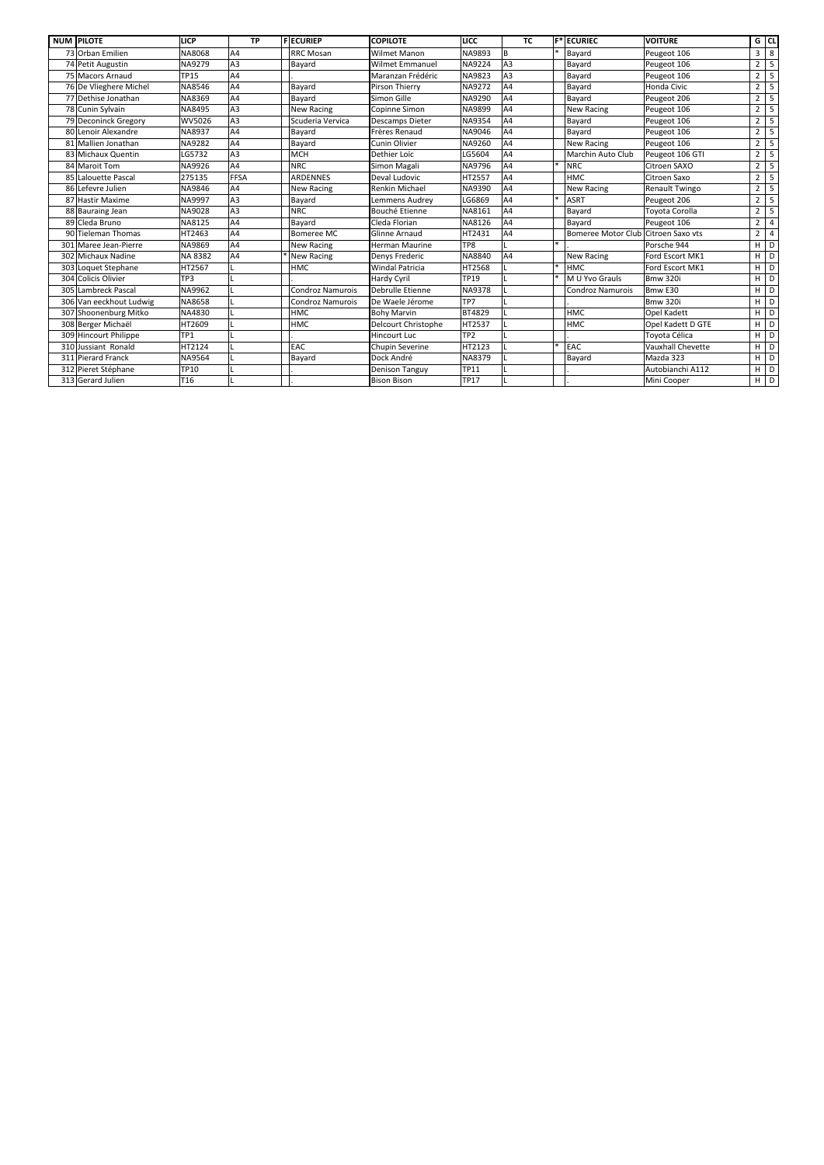| <b>NUM PILOTE</b>       | <b>LICP</b>     | <b>TP</b>      | <b>FECURIEP</b>         | <b>COPILOTE</b>        | LICC            | <b>TC</b>      | $F^*$ ECURIEC                       | <b>VOITURE</b>        |                | $G$ CL                  |
|-------------------------|-----------------|----------------|-------------------------|------------------------|-----------------|----------------|-------------------------------------|-----------------------|----------------|-------------------------|
| 73 Orban Emilien        | NA8068          | A4             | <b>RRC Mosan</b>        | <b>Wilmet Manon</b>    | NA9893          | <b>B</b>       | Bayard                              | Peugeot 106           | $\overline{3}$ | $\,8\,$                 |
| 74 Petit Augustin       | NA9279          | A3             | Bayard                  | <b>Wilmet Emmanuel</b> | NA9224          | A <sub>3</sub> | Bayard                              | Peugeot 106           | $\overline{2}$ | $\overline{5}$          |
| 75 Macors Arnaud        | <b>TP15</b>     | A4             |                         | Maranzan Frédéric      | NA9823          | A3             | Bayard                              | Peugeot 106           | $\overline{2}$ | $\overline{\mathbf{5}}$ |
| 76 De Vlieghere Michel  | NA8546          | A4             | Bayard                  | Pirson Thierry         | NA9272          | A4             | Bayard                              | Honda Civic           | $\overline{2}$ | $\overline{5}$          |
| 77 Dethise Jonathan     | NA8369          | A4             | Bayard                  | Simon Gille            | NA9290          | A4             | Bayard                              | Peugeot 206           | $2^{\circ}$    | $\overline{5}$          |
| 78 Cunin Sylvain        | NA8495          | A3             | <b>New Racing</b>       | Copinne Simon          | NA9899          | A4             | <b>New Racing</b>                   | Peugeot 106           | $\overline{2}$ | $\overline{5}$          |
| 79 Deconinck Gregory    | WV5026          | A3             | Scuderia Vervica        | <b>Descamps Dieter</b> | NA9354          | A4             | Bayard                              | Peugeot 106           | $\overline{2}$ | $\overline{\mathbf{5}}$ |
| 80 Lenoir Alexandre     | NA8937          | A4             | Bayard                  | Frères Renaud          | NA9046          | A4             | Bayard                              | Peugeot 106           | $2^{\circ}$    | 5                       |
| 81 Mallien Jonathan     | NA9282          | A4             | Bayard                  | <b>Cunin Olivier</b>   | NA9260          | A4             | <b>New Racing</b>                   | Peugeot 106           | $\overline{2}$ | $\overline{5}$          |
| 83 Michaux Quentin      | LG5732          | A3             | <b>MCH</b>              | Dethier Loïc           | LG5604          | A4             | Marchin Auto Club                   | Peugeot 106 GTI       | $2^{\circ}$    | 5                       |
| 84 Maroit Tom           | NA9926          | A <sub>4</sub> | <b>NRC</b>              | Simon Magali           | NA9796          | A4             | <b>NRC</b>                          | <b>Citroen SAXO</b>   | $\overline{2}$ | $\overline{5}$          |
| 85 Lalouette Pascal     | 275135          | <b>FFSA</b>    | <b>ARDENNES</b>         | Deval Ludovic          | HT2557          | A4             | <b>HMC</b>                          | <b>Citroen Saxo</b>   | $\overline{2}$ | 5                       |
| 86 Lefevre Julien       | NA9846          | A4             | <b>New Racing</b>       | Renkin Michael         | NA9390          | A4             | <b>New Racing</b>                   | <b>Renault Twingo</b> | $2^{\circ}$    | $\overline{5}$          |
| 87 Hastir Maxime        | NA9997          | A3             | Bayard                  | Lemmens Audrey         | LG6869          | A4             | <b>ASRT</b>                         | Peugeot 206           | $\overline{2}$ | 5                       |
| 88 Bauraing Jean        | NA9028          | A3             | <b>NRC</b>              | Bouché Etienne         | NA8161          | A4             | Bayard                              | Toyota Corolla        | $\overline{2}$ |                         |
| 89 Cleda Bruno          | <b>NA8125</b>   | A4             | Bayard                  | Cleda Florian          | NA8126          | A4             | Bayard                              | Peugeot 106           | $2^{\circ}$    | $\overline{4}$          |
| 90 Tieleman Thomas      | HT2463          | A4             | <b>Bomeree MC</b>       | Glinne Arnaud          | HT2431          | A <sub>4</sub> | Bomeree Motor Club Citroen Saxo vts |                       | $\overline{2}$ | $\overline{4}$          |
| 301 Maree Jean-Pierre   | NA9869          | A4             | <b>New Racing</b>       | <b>Herman Maurine</b>  | TP8             |                |                                     | Porsche 944           | H              | D                       |
| 302 Michaux Nadine      | NA 8382         | A4             | <b>New Racing</b>       | Denys Frederic         | NA8840          | A4             | <b>New Racing</b>                   | Ford Escort MK1       | H              | D                       |
| 303 Loquet Stephane     | HT2567          |                | <b>HMC</b>              | <b>Windal Patricia</b> | HT2568          |                | <b>HMC</b>                          | Ford Escort MK1       | H              | D                       |
| 304 Colicis Olivier     | TP3             |                |                         | <b>Hardy Cyril</b>     | <b>TP19</b>     |                | M U Yvo Grauls                      | <b>Bmw 320i</b>       | H              | D                       |
| 305 Lambreck Pascal     | NA9962          |                | <b>Condroz Namurois</b> | Debrulle Etienne       | NA9378          |                | <b>Condroz Namurois</b>             | Bmw E30               | H              | D                       |
| 306 Van eeckhout Ludwig | NA8658          |                | <b>Condroz Namurois</b> | De Waele Jérome        | TP7             |                |                                     | Bmw 320i              | H              | D                       |
| 307 Shoonenburg Mitko   | NA4830          |                | <b>HMC</b>              | <b>Bohy Marvin</b>     | BT4829          |                | <b>HMC</b>                          | <b>Opel Kadett</b>    | H              | D                       |
| 308 Berger Michaël      | HT2609          |                | <b>HMC</b>              | Delcourt Christophe    | HT2537          |                | <b>HMC</b>                          | Opel Kadett D GTE     | H              | D                       |
| 309 Hincourt Philippe   | TP1             |                |                         | <b>Hincourt Luc</b>    | TP <sub>2</sub> |                |                                     | Toyota Célica         | H              | D                       |
| 310 Jussiant Ronald     | HT2124          |                | EAC                     | <b>Chupin Severine</b> | HT2123          |                | EAC                                 | Vauxhall Chevette     | H              | D                       |
| 311 Pierard Franck      | NA9564          |                | Bayard                  | Dock André             | NA8379          |                | Bayard                              | Mazda 323             | H              | D                       |
| 312 Pieret Stéphane     | <b>TP10</b>     |                |                         | <b>Denison Tanguy</b>  | <b>TP11</b>     |                |                                     | Autobianchi A112      |                | $H$ D                   |
| 313 Gerard Julien       | T <sub>16</sub> |                |                         | <b>Bison Bison</b>     | <b>TP17</b>     |                |                                     | Mini Cooper           |                | H   D                   |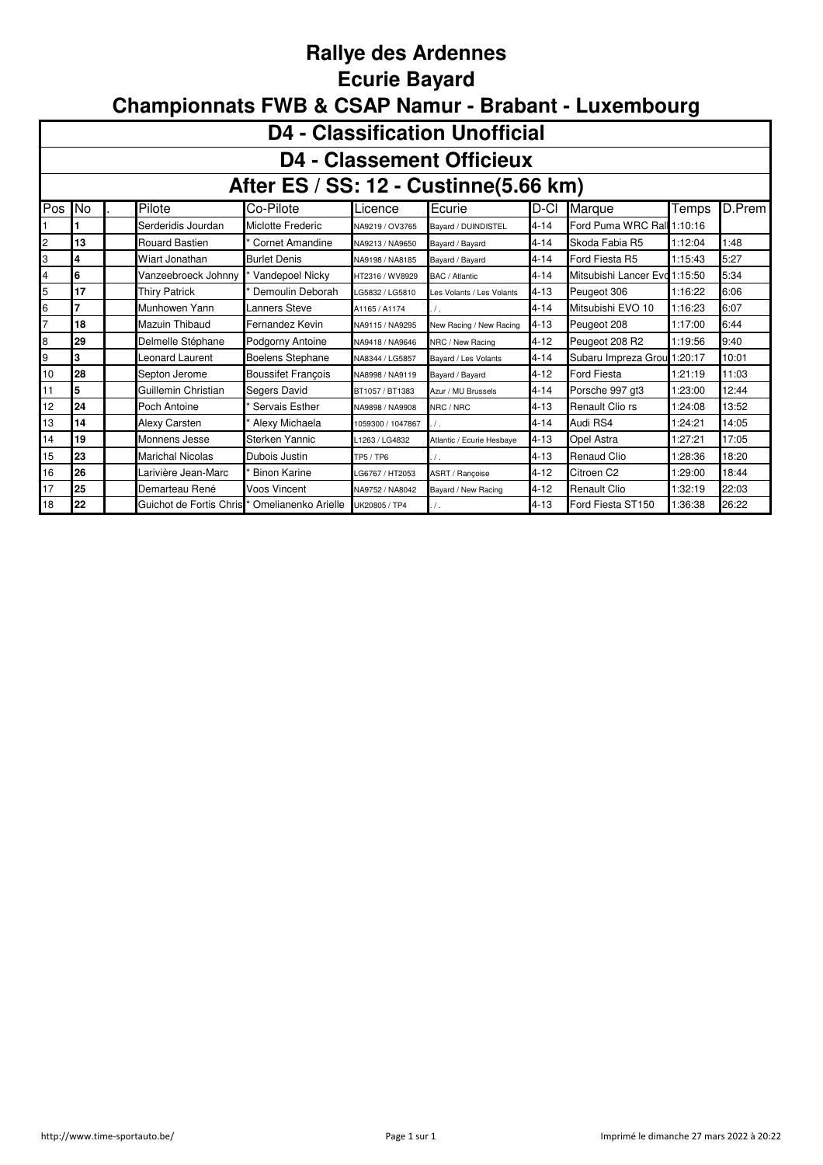#### **Rallye des Ardennes Ecurie Bayard Championnats FWB & CSAP Namur - Brabant - Luxembourg**

|                | <b>D4 - Classification Unofficial</b>                                                                                                        |                         |                           |                   |                           |          |                            |         |        |  |  |  |  |  |
|----------------|----------------------------------------------------------------------------------------------------------------------------------------------|-------------------------|---------------------------|-------------------|---------------------------|----------|----------------------------|---------|--------|--|--|--|--|--|
|                | <b>D4 - Classement Officieux</b>                                                                                                             |                         |                           |                   |                           |          |                            |         |        |  |  |  |  |  |
|                | After ES / SS: 12 - Custinne(5.66 km)                                                                                                        |                         |                           |                   |                           |          |                            |         |        |  |  |  |  |  |
| Pos            | No                                                                                                                                           | Pilote                  | Co-Pilote                 | Licence           | Ecurie                    | ID-CI    | Marque                     | Temps   | D.Prem |  |  |  |  |  |
|                |                                                                                                                                              | Serderidis Jourdan      | Miclotte Frederic         | NA9219 / OV3765   | Bayard / DUINDISTEL       | $4 - 14$ | Ford Puma WRC Rall 1:10:16 |         |        |  |  |  |  |  |
| 2              | 13                                                                                                                                           | <b>Rouard Bastien</b>   | Cornet Amandine           | NA9213 / NA9650   | Bayard / Bayard           | $4 - 14$ | Skoda Fabia R5             | 1:12:04 | 1:48   |  |  |  |  |  |
| 3              | 5:27<br>$4 - 14$<br>1:15:43<br>Ford Fiesta R5<br>4<br>Wiart Jonathan<br><b>Burlet Denis</b><br>NA9198 / NA8185<br>Bayard / Bayard            |                         |                           |                   |                           |          |                            |         |        |  |  |  |  |  |
| 4              | Mitsubishi Lancer Evo 1:15:50<br>5:34<br>6<br>Vanzeebroeck Johnny<br>Vandepoel Nicky<br>$4 - 14$<br>HT2316 / WV8929<br>BAC / Atlantic        |                         |                           |                   |                           |          |                            |         |        |  |  |  |  |  |
| 5              | 17<br>6:06<br>$4 - 13$<br>1:16:22<br><b>Thiry Patrick</b><br>Demoulin Deborah<br>Peugeot 306<br>LG5832 / LG5810<br>Les Volants / Les Volants |                         |                           |                   |                           |          |                            |         |        |  |  |  |  |  |
| 6              |                                                                                                                                              | Munhowen Yann           | Lanners Steve             | A1165 / A1174     | $\prime$ .                | $4 - 14$ | Mitsubishi EVO 10          | 1:16:23 | 6:07   |  |  |  |  |  |
| $\overline{7}$ | 18                                                                                                                                           | Mazuin Thibaud          | Fernandez Kevin           | NA9115 / NA9295   | New Racing / New Racing   | $4 - 13$ | Peugeot 208                | 1:17:00 | 6:44   |  |  |  |  |  |
| 8              | 29                                                                                                                                           | Delmelle Stéphane       | Podgorny Antoine          | NA9418 / NA9646   | NRC / New Racing          | $4 - 12$ | Peugeot 208 R2             | 1:19:56 | 9:40   |  |  |  |  |  |
| 9              | 3                                                                                                                                            | Leonard Laurent         | Boelens Stephane          | NA8344 / LG5857   | Bayard / Les Volants      | $4 - 14$ | Subaru Impreza Grou        | 1:20:17 | 10:01  |  |  |  |  |  |
| 10             | 28                                                                                                                                           | Septon Jerome           | <b>Boussifet Francois</b> | NA8998 / NA9119   | Bayard / Bayard           | $4 - 12$ | <b>Ford Fiesta</b>         | 1:21:19 | 11:03  |  |  |  |  |  |
| 11             | 5                                                                                                                                            | Guillemin Christian     | Segers David              | BT1057 / BT1383   | Azur / MU Brussels        | $4 - 14$ | Porsche 997 gt3            | 1:23:00 | 12:44  |  |  |  |  |  |
| 12             | 24                                                                                                                                           | Poch Antoine            | Servais Esther            | NA9898 / NA9908   | NRC / NRC                 | $4 - 13$ | Renault Clio rs            | 1:24:08 | 13:52  |  |  |  |  |  |
| 13             | 14                                                                                                                                           | Alexy Carsten           | Alexy Michaela            | 1059300 / 1047867 |                           | $4 - 14$ | Audi RS4                   | 1:24:21 | 14:05  |  |  |  |  |  |
| 14             | 19                                                                                                                                           | Monnens Jesse           | Sterken Yannic            | 1263 / LG4832     | Atlantic / Ecurie Hesbaye | $4 - 13$ | Opel Astra                 | 1:27:21 | 17:05  |  |  |  |  |  |
| 15             | 23                                                                                                                                           | <b>Marichal Nicolas</b> | Dubois Justin             | <b>TP5 / TP6</b>  |                           | $4 - 13$ | Renaud Clio                | 1:28:36 | 18:20  |  |  |  |  |  |
| 16             | 26<br>1:29:00<br>Citroen C2<br>18:44<br>Larivière Jean-Marc<br><b>Binon Karine</b><br>$4 - 12$<br>LG6767 / HT2053<br>ASRT / Rancoise         |                         |                           |                   |                           |          |                            |         |        |  |  |  |  |  |
| 17             | 25                                                                                                                                           | Demarteau René          | Voos Vincent              | NA9752 / NA8042   | Bayard / New Racing       | $4 - 12$ | <b>Renault Clio</b>        | 1:32:19 | 22:03  |  |  |  |  |  |
| 18             | 22                                                                                                                                           | Guichot de Fortis Chris | Omelianenko Arielle       | UK20805 / TP4     | $\prime$ .                | $4 - 13$ | Ford Fiesta ST150          | 1:36:38 | 26:22  |  |  |  |  |  |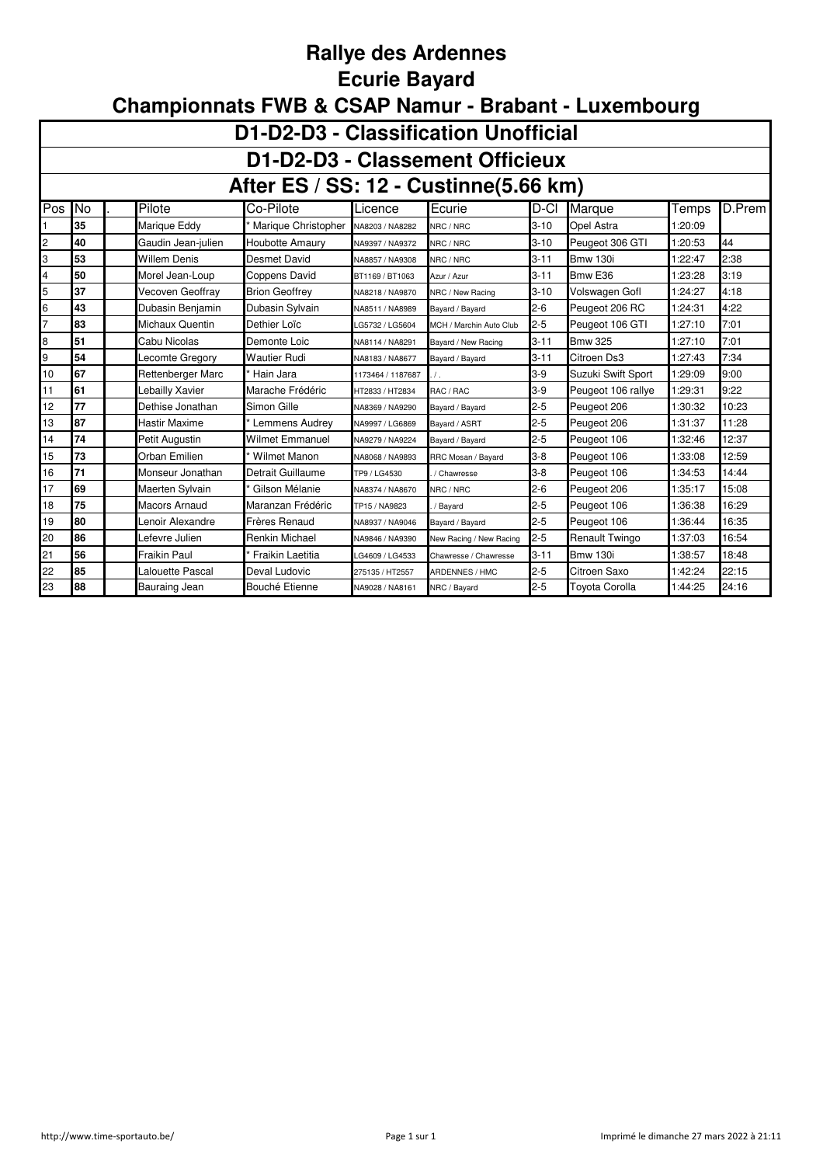#### **Rallye des Ardennes Ecurie Bayard**

| D1-D2-D3 - Classification Unofficial  |                                                                                                                                         |                      |                        |                   |                         |          |                       |         |        |  |  |  |  |  |
|---------------------------------------|-----------------------------------------------------------------------------------------------------------------------------------------|----------------------|------------------------|-------------------|-------------------------|----------|-----------------------|---------|--------|--|--|--|--|--|
|                                       | D1-D2-D3 - Classement Officieux                                                                                                         |                      |                        |                   |                         |          |                       |         |        |  |  |  |  |  |
| After ES / SS: 12 - Custinne(5.66 km) |                                                                                                                                         |                      |                        |                   |                         |          |                       |         |        |  |  |  |  |  |
| Pos                                   | No                                                                                                                                      | Pilote               | Co-Pilote              | Licence           | Ecurie                  | D-Cl     | Marque                | Temps   | D.Prem |  |  |  |  |  |
|                                       | 35                                                                                                                                      | Marique Eddy         | Marique Christopher    | NA8203 / NA8282   | NRC / NRC               | $3 - 10$ | Opel Astra            | 1:20:09 |        |  |  |  |  |  |
| $\overline{c}$                        | 40                                                                                                                                      | Gaudin Jean-julien   | <b>Houbotte Amaury</b> | NA9397 / NA9372   | NRC / NRC               | $3 - 10$ | Peugeot 306 GTI       | 1:20:53 | 44     |  |  |  |  |  |
| 3                                     | 53                                                                                                                                      | <b>Willem Denis</b>  | Desmet David           | NA8857 / NA9308   | NRC / NRC               | $3 - 11$ | <b>Bmw 130i</b>       | 1:22:47 | 2:38   |  |  |  |  |  |
| 4                                     | 50<br>$3 - 11$<br>3:19<br>Bmw <sub>E36</sub><br>Morel Jean-Loup<br>Coppens David<br>1:23:28<br>BT1169 / BT1063<br>Azur / Azur           |                      |                        |                   |                         |          |                       |         |        |  |  |  |  |  |
| 5                                     | 37<br>Vecoven Geoffray<br>$3 - 10$<br>Volswagen Gofl<br>4:18<br><b>Brion Geoffrey</b><br>1:24:27<br>NA8218 / NA9870<br>NRC / New Racing |                      |                        |                   |                         |          |                       |         |        |  |  |  |  |  |
| 6                                     | $2 - 6$<br>4:22<br>43<br>Dubasin Benjamin<br>Peugeot 206 RC<br>1:24:31<br>Dubasin Sylvain<br>NA8511 / NA8989<br>Bayard / Bayard         |                      |                        |                   |                         |          |                       |         |        |  |  |  |  |  |
| $\overline{7}$                        | $2 - 5$<br>83<br>7:01<br>Michaux Quentin<br>Dethier Loïc<br>Peugeot 106 GTI<br>1:27:10<br>G5732 / LG5604<br>MCH / Marchin Auto Club     |                      |                        |                   |                         |          |                       |         |        |  |  |  |  |  |
| 8                                     | $3 - 11$<br>7:01<br>51<br>1:27:10<br>Cabu Nicolas<br>Demonte Loic<br><b>Bmw 325</b><br>NA8114 / NA8291<br>Bavard / New Racing           |                      |                        |                   |                         |          |                       |         |        |  |  |  |  |  |
| 9                                     | 54                                                                                                                                      | Lecomte Gregory      | <b>Wautier Rudi</b>    | NA8183 / NA8677   | Bayard / Bayard         | $3 - 11$ | Citroen Ds3           | 1:27:43 | 7:34   |  |  |  |  |  |
| 10                                    | 67                                                                                                                                      | Rettenberger Marc    | Hain Jara              | 1173464 / 1187687 | $\prime$ .              | $3-9$    | Suzuki Swift Sport    | 1:29:09 | 9:00   |  |  |  |  |  |
| 11                                    | 61                                                                                                                                      | Lebailly Xavier      | Marache Frédéric       | HT2833 / HT2834   | RAC / RAC               | $3-9$    | Peugeot 106 rallye    | 1:29:31 | 9:22   |  |  |  |  |  |
| 12                                    | 77                                                                                                                                      | Dethise Jonathan     | Simon Gille            | NA8369 / NA9290   | Bayard / Bayard         | $2 - 5$  | Peugeot 206           | 1:30:32 | 10:23  |  |  |  |  |  |
| 13                                    | 87                                                                                                                                      | Hastir Maxime        | Lemmens Audrey         | NA9997 / LG6869   | Bayard / ASRT           | $2 - 5$  | Peugeot 206           | 1:31:37 | 11:28  |  |  |  |  |  |
| 14                                    | 74                                                                                                                                      | Petit Augustin       | <b>Wilmet Emmanuel</b> | NA9279 / NA9224   | Bayard / Bayard         | $2 - 5$  | Peugeot 106           | 1:32:46 | 12:37  |  |  |  |  |  |
| 15                                    | 73                                                                                                                                      | Orban Emilien        | <b>Wilmet Manon</b>    | NA8068 / NA9893   | RRC Mosan / Bayard      | $3 - 8$  | Peugeot 106           | 1:33:08 | 12:59  |  |  |  |  |  |
| 16                                    | 71                                                                                                                                      | Monseur Jonathan     | Detrait Guillaume      | TP9 / LG4530      | / Chawresse             | $3 - 8$  | Peugeot 106           | 1:34:53 | 14:44  |  |  |  |  |  |
| 17                                    | 69                                                                                                                                      | Maerten Sylvain      | Gilson Mélanie         | NA8374 / NA8670   | NRC / NRC               | $2 - 6$  | Peugeot 206           | 1:35:17 | 15:08  |  |  |  |  |  |
| 18                                    | 75                                                                                                                                      | <b>Macors Arnaud</b> | Maranzan Frédéric      | TP15 / NA9823     | Bayard                  | $2 - 5$  | Peugeot 106           | 1:36:38 | 16:29  |  |  |  |  |  |
| 19                                    | 80                                                                                                                                      | Lenoir Alexandre     | Frères Renaud          | NA8937 / NA9046   | Bayard / Bayard         | $2 - 5$  | Peugeot 106           | 1:36:44 | 16:35  |  |  |  |  |  |
| 20                                    | 86                                                                                                                                      | Lefevre Julien       | <b>Renkin Michael</b>  | NA9846 / NA9390   | New Racing / New Racing | $2 - 5$  | Renault Twingo        | 1:37:03 | 16:54  |  |  |  |  |  |
| 21                                    | 56                                                                                                                                      | Fraikin Paul         | Fraikin Laetitia       | G4609 / LG4533    | Chawresse / Chawresse   | $3 - 11$ | <b>Bmw 130i</b>       | 1:38:57 | 18:48  |  |  |  |  |  |
| 22                                    | 85                                                                                                                                      | Lalouette Pascal     | Deval Ludovic          | 275135 / HT2557   | ARDENNES / HMC          | $2 - 5$  | Citroen Saxo          | 1:42:24 | 22:15  |  |  |  |  |  |
| 23                                    | 88                                                                                                                                      | Bauraing Jean        | Bouché Etienne         | NA9028 / NA8161   | NRC / Bayard            | $2 - 5$  | <b>Toyota Corolla</b> | 1:44:25 | 24:16  |  |  |  |  |  |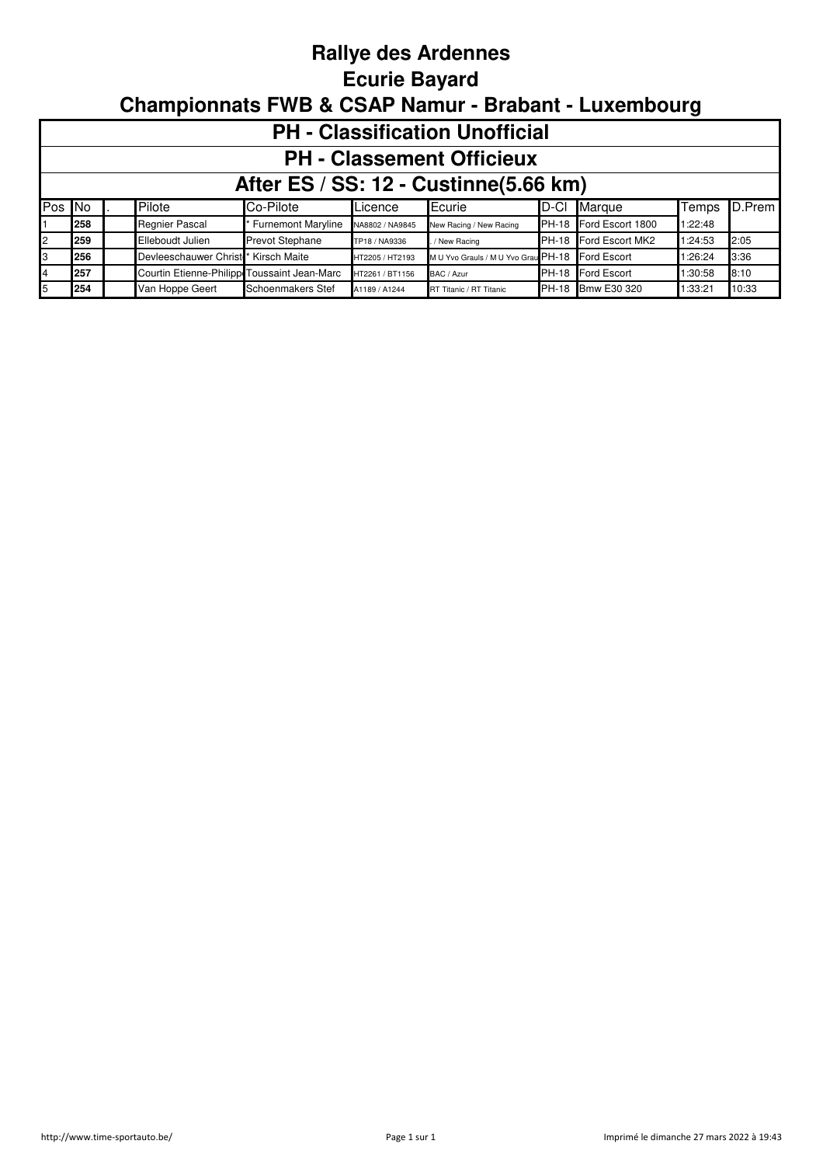#### **Rallye des Ardennes Ecurie Bayard Championnats FWB & CSAP Namur - Brabant - Luxembourg**

|        | <b>PH - Classification Unofficial</b>                                                                                       |  |                       |                           |                 |                                     |              |                   |         |        |  |  |  |  |
|--------|-----------------------------------------------------------------------------------------------------------------------------|--|-----------------------|---------------------------|-----------------|-------------------------------------|--------------|-------------------|---------|--------|--|--|--|--|
|        | <b>PH - Classement Officieux</b>                                                                                            |  |                       |                           |                 |                                     |              |                   |         |        |  |  |  |  |
|        | After ES / SS: 12 - Custinne(5.66 km)                                                                                       |  |                       |                           |                 |                                     |              |                   |         |        |  |  |  |  |
| Pos No |                                                                                                                             |  | Pilote                | Co-Pilote                 | Licence         | Ecurie                              | ID-CI        | Marque            | Temps   | D.Prem |  |  |  |  |
|        | 258                                                                                                                         |  | <b>Regnier Pascal</b> | <b>Furnemont Maryline</b> | NA8802 / NA9845 | New Racing / New Racing             | <b>PH-18</b> | Ford Escort 1800  | 1:22:48 |        |  |  |  |  |
| 2      | 259                                                                                                                         |  | Elleboudt Julien      | <b>Prevot Stephane</b>    | TP18 / NA9336   | / New Racing                        | <b>PH-18</b> | Ford Escort MK2   | 1:24:53 | 2:05   |  |  |  |  |
| IЗ     | 256                                                                                                                         |  | Devleeschauwer Christ | Kirsch Maite              | HT2205 / HT2193 | M U Yvo Grauls / M U Yvo Grau PH-18 |              | Ford Escort       | 1:26:24 | 3:36   |  |  |  |  |
| 4      | 257<br>Courtin Etienne-Philipp Toussaint Jean-Marc<br>PH-18 Ford Escort<br>1:30:58<br>8:10<br>HT2261 / BT1156<br>BAC / Azur |  |                       |                           |                 |                                     |              |                   |         |        |  |  |  |  |
| 5      | 254                                                                                                                         |  | Van Hoppe Geert       | Schoenmakers Stef         | A1189 / A1244   | RT Titanic / RT Titanic             |              | PH-18 Bmw E30 320 | 1:33:21 | 10:33  |  |  |  |  |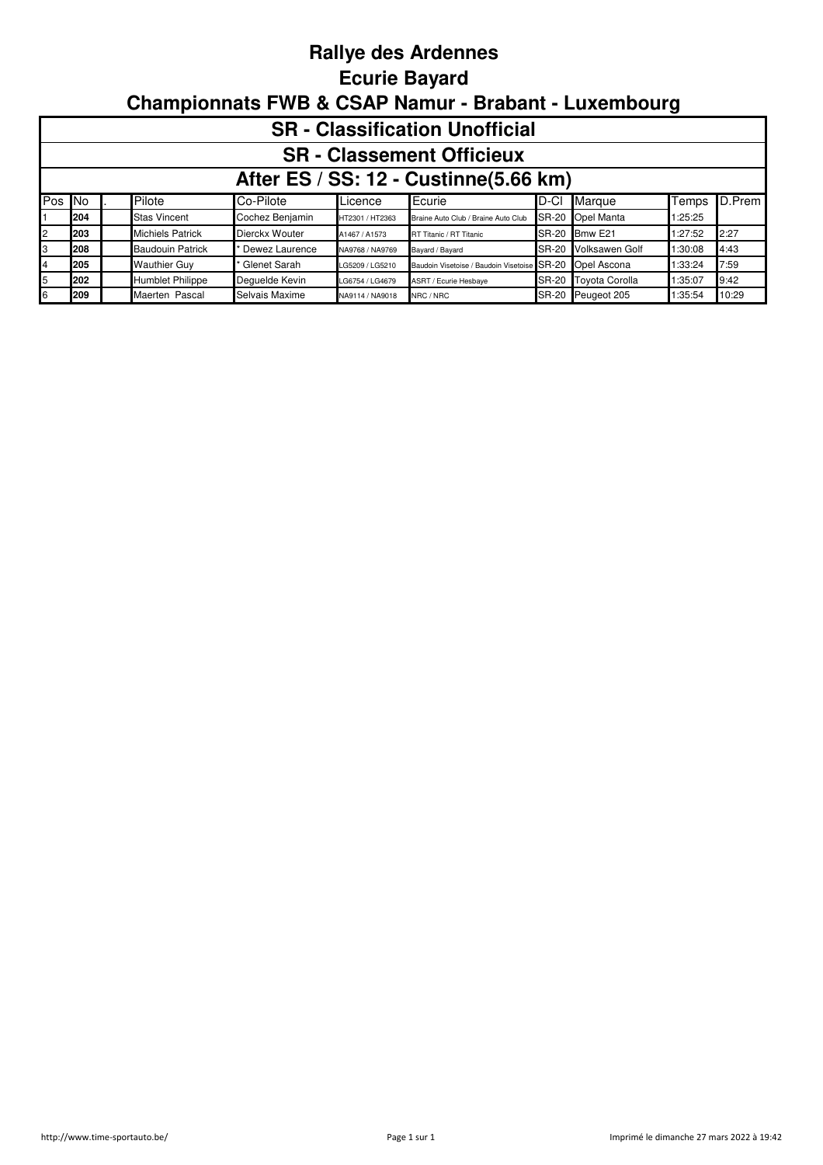## **Rallye des Ardennes Ecurie Bayard Championnats FWB & CSAP Namur - Brabant - Luxembourg**

|         | <b>SR</b> - Classification Unofficial |  |                         |                 |                 |                                             |              |                       |         |        |  |  |  |
|---------|---------------------------------------|--|-------------------------|-----------------|-----------------|---------------------------------------------|--------------|-----------------------|---------|--------|--|--|--|
|         | <b>SR</b> - Classement Officieux      |  |                         |                 |                 |                                             |              |                       |         |        |  |  |  |
|         | After ES / SS: 12 - Custinne(5.66 km) |  |                         |                 |                 |                                             |              |                       |         |        |  |  |  |
| Pos INo |                                       |  | Pilote                  | Co-Pilote       | Licence         | Ecurie                                      | ID-CI        | Marque                | Temps   | D.Prem |  |  |  |
|         | 204                                   |  | <b>Stas Vincent</b>     | Cochez Benjamin | HT2301 / HT2363 | Braine Auto Club / Braine Auto Club         | <b>SR-20</b> | Opel Manta            | 1:25:25 |        |  |  |  |
| 2       | 203                                   |  | <b>Michiels Patrick</b> | Dierckx Wouter  | A1467 / A1573   | RT Titanic / RT Titanic                     | <b>SR-20</b> | Bmw E21               | 1:27:52 | 2:27   |  |  |  |
| IЗ      | 208                                   |  | <b>Baudouin Patrick</b> | Dewez Laurence  | NA9768 / NA9769 | Bayard / Bayard                             | <b>SR-20</b> | <b>Volksawen Golf</b> | 1:30:08 | 4:43   |  |  |  |
| 4       | 205                                   |  | <b>Wauthier Guy</b>     | Glenet Sarah    | LG5209 / LG5210 | Baudoin Visetoise / Baudoin Visetoise SR-20 |              | Opel Ascona           | 1:33:24 | 7:59   |  |  |  |
| 5       | 202                                   |  | <b>Humblet Philippe</b> | Dequelde Kevin  | LG6754 / LG4679 | ASRT / Ecurie Hesbaye                       | <b>SR-20</b> | <b>Toyota Corolla</b> | 1:35:07 | 9:42   |  |  |  |
| 6       | 209                                   |  | Maerten Pascal          | Selvais Maxime  | NA9114 / NA9018 | NRC / NRC                                   | <b>SR-20</b> | Peugeot 205           | 1:35:54 | 10:29  |  |  |  |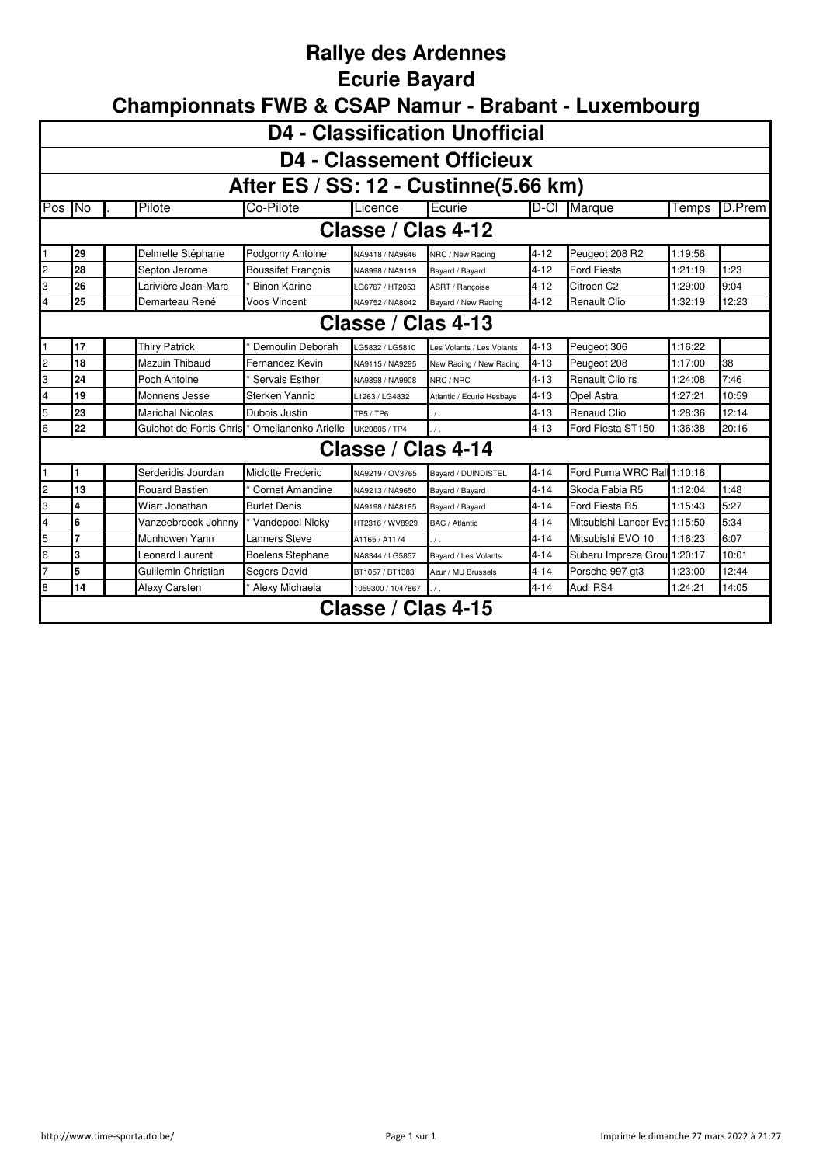# **Rallye des Ardennes**

#### **Ecurie Bayard**

| <b>D4 - Classification Unofficial</b> |                                                                                                                                              |                         |                           |                    |                           |          |                               |         |               |  |  |  |  |  |
|---------------------------------------|----------------------------------------------------------------------------------------------------------------------------------------------|-------------------------|---------------------------|--------------------|---------------------------|----------|-------------------------------|---------|---------------|--|--|--|--|--|
|                                       | <b>D4 - Classement Officieux</b>                                                                                                             |                         |                           |                    |                           |          |                               |         |               |  |  |  |  |  |
| After ES / SS: 12 - Custinne(5.66 km) |                                                                                                                                              |                         |                           |                    |                           |          |                               |         |               |  |  |  |  |  |
| Pos No                                |                                                                                                                                              | Pilote                  | Co-Pilote                 | Licence            | Ecurie                    | D-CI     | Marque                        | Temps   | <b>D.Prem</b> |  |  |  |  |  |
|                                       | Classe / Clas 4-12                                                                                                                           |                         |                           |                    |                           |          |                               |         |               |  |  |  |  |  |
|                                       | 29<br>Peugeot 208 R2<br>Delmelle Stéphane<br>$4 - 12$<br>1:19:56<br>Podgorny Antoine<br>NA9418 / NA9646<br>NRC / New Racing                  |                         |                           |                    |                           |          |                               |         |               |  |  |  |  |  |
| $\overline{c}$                        | 28                                                                                                                                           | Septon Jerome           | <b>Boussifet Francois</b> | NA8998 / NA9119    | Bayard / Bayard           | $4 - 12$ | <b>Ford Fiesta</b>            | 1:21:19 | 1:23          |  |  |  |  |  |
| 3                                     | 26                                                                                                                                           | Larivière Jean-Marc     | <b>Binon Karine</b>       | G6767 / HT2053     | ASRT / Rancoise           | $4 - 12$ | Citroen C2                    | 1:29:00 | 9:04          |  |  |  |  |  |
| 4                                     | 25<br><b>Voos Vincent</b><br>$4 - 12$<br>12:23<br>Demarteau René<br><b>Renault Clio</b><br>1:32:19<br>NA9752 / NA8042<br>Bayard / New Racing |                         |                           |                    |                           |          |                               |         |               |  |  |  |  |  |
|                                       | Classe / Clas 4-13                                                                                                                           |                         |                           |                    |                           |          |                               |         |               |  |  |  |  |  |
|                                       | <b>Thiry Patrick</b><br>Demoulin Deborah<br>$4 - 13$<br>17<br>Peugeot 306<br>1:16:22<br>G5832 / LG5810<br>Les Volants / Les Volants          |                         |                           |                    |                           |          |                               |         |               |  |  |  |  |  |
| $\overline{c}$                        | 18<br>Mazuin Thibaud<br>$4 - 13$<br>1:17:00<br>38<br>Fernandez Kevin<br>Peugeot 208<br>NA9115 / NA9295<br>New Racing / New Racing            |                         |                           |                    |                           |          |                               |         |               |  |  |  |  |  |
| IЗ                                    | 24                                                                                                                                           | Poch Antoine            | Servais Esther            | NA9898 / NA9908    | NRC / NRC                 | $4 - 13$ | Renault Clio rs               | 1:24:08 | 7:46          |  |  |  |  |  |
| 4                                     | 19                                                                                                                                           | Monnens Jesse           | Sterken Yannic            | L1263 / LG4832     | Atlantic / Ecurie Hesbaye | $4 - 13$ | Opel Astra                    | 1:27:21 | 10:59         |  |  |  |  |  |
| 5                                     | 23                                                                                                                                           | <b>Marichal Nicolas</b> | Dubois Justin             | <b>TP5 / TP6</b>   | $\sqrt{ }$ .              | $4 - 13$ | <b>Renaud Clio</b>            | 1:28:36 | 12:14         |  |  |  |  |  |
| 6                                     | 22                                                                                                                                           | Guichot de Fortis Chris | Omelianenko Arielle       | UK20805 / TP4      |                           | $4 - 13$ | Ford Fiesta ST150             | 1:36:38 | 20:16         |  |  |  |  |  |
|                                       |                                                                                                                                              |                         |                           | Classe / Clas 4-14 |                           |          |                               |         |               |  |  |  |  |  |
|                                       | 1                                                                                                                                            | Serderidis Jourdan      | Miclotte Frederic         | NA9219 / OV3765    | Bavard / DUINDISTEL       | $4 - 14$ | Ford Puma WRC Rall            | 1:10:16 |               |  |  |  |  |  |
| $\overline{c}$                        | 13                                                                                                                                           | <b>Rouard Bastien</b>   | Cornet Amandine           | NA9213 / NA9650    | Bayard / Bayard           | $4 - 14$ | Skoda Fabia R5                | 1:12:04 | 1:48          |  |  |  |  |  |
| IЗ                                    | 4                                                                                                                                            | Wiart Jonathan          | <b>Burlet Denis</b>       | NA9198 / NA8185    | Bayard / Bayard           | $4 - 14$ | Ford Fiesta R5                | 1:15:43 | 5:27          |  |  |  |  |  |
| $\overline{\mathbf{4}}$               | 6                                                                                                                                            | Vanzeebroeck Johnny     | Vandepoel Nicky           | HT2316 / WV8929    | BAC / Atlantic            | $4 - 14$ | Mitsubishi Lancer Evd 1:15:50 |         | 5:34          |  |  |  |  |  |
| 5                                     | 7                                                                                                                                            | Munhowen Yann           | <b>Lanners Steve</b>      | A1165 / A1174      | $\prime$ .                | $4 - 14$ | Mitsubishi EVO 10             | 1:16:23 | 6:07          |  |  |  |  |  |
| l6                                    | 3                                                                                                                                            | Leonard Laurent         | <b>Boelens Stephane</b>   | NA8344 / LG5857    | Bayard / Les Volants      | $4 - 14$ | Subaru Impreza Grou           | 1:20:17 | 10:01         |  |  |  |  |  |
|                                       | 5                                                                                                                                            | Guillemin Christian     | Segers David              | BT1057 / BT1383    | Azur / MU Brussels        | $4 - 14$ | Porsche 997 gt3               | 1:23:00 | 12:44         |  |  |  |  |  |
| 8                                     | 14                                                                                                                                           | <b>Alexy Carsten</b>    | Alexy Michaela            | 1059300 / 1047867  |                           | $4 - 14$ | Audi RS4                      | 1:24:21 | 14:05         |  |  |  |  |  |
|                                       |                                                                                                                                              |                         |                           | Classe / Clas 4-15 |                           |          |                               |         |               |  |  |  |  |  |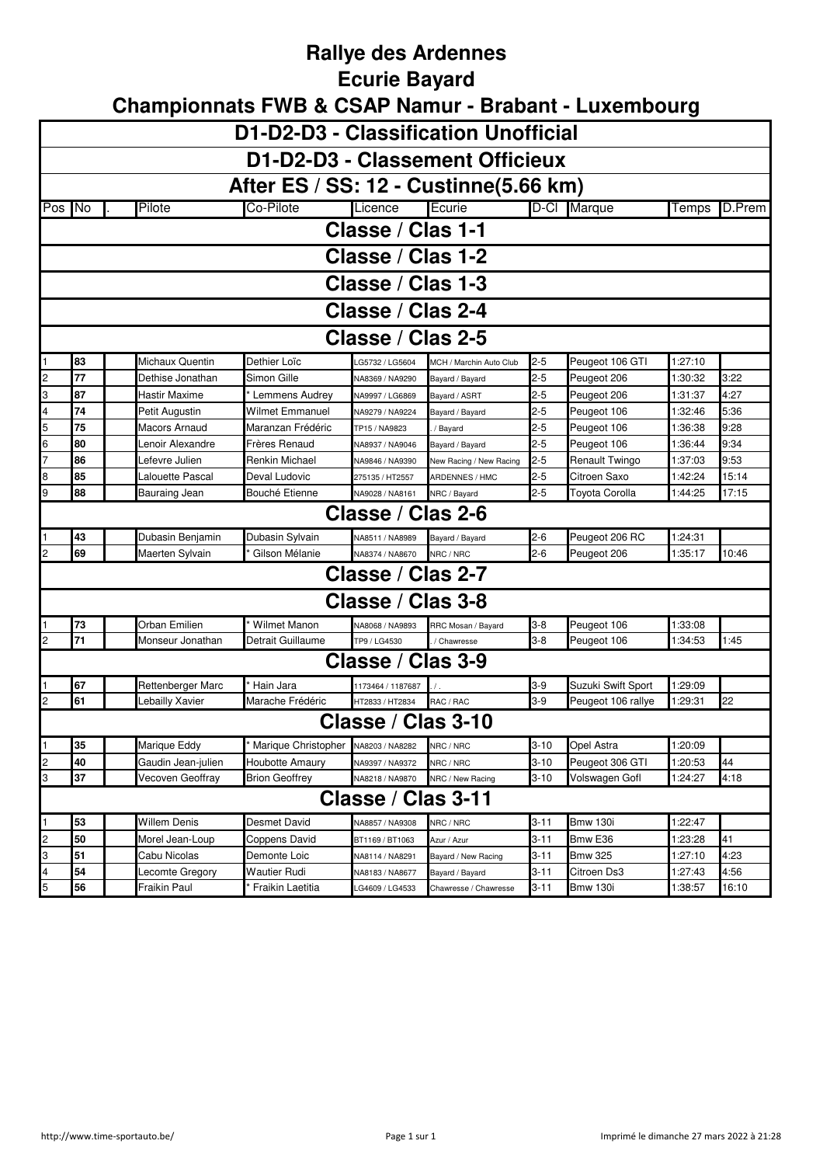## **Rallye des Ardennes**

#### **Ecurie Bayard**

|                         | D1-D2-D3 - Classification Unofficial                                                                                    |                     |                                     |                    |                                  |          |                    |         |        |  |  |  |  |
|-------------------------|-------------------------------------------------------------------------------------------------------------------------|---------------------|-------------------------------------|--------------------|----------------------------------|----------|--------------------|---------|--------|--|--|--|--|
|                         | D1-D2-D3 - Classement Officieux                                                                                         |                     |                                     |                    |                                  |          |                    |         |        |  |  |  |  |
|                         | After ES / SS: 12 - Custinne(5.66 km)                                                                                   |                     |                                     |                    |                                  |          |                    |         |        |  |  |  |  |
| Pos No                  |                                                                                                                         | Pilote              | Co-Pilote                           | Licence            | Ecurie                           | $D-CI$   | Marque             | Temps   | D.Prem |  |  |  |  |
|                         |                                                                                                                         |                     |                                     | Classe / Clas 1-1  |                                  |          |                    |         |        |  |  |  |  |
|                         |                                                                                                                         |                     |                                     | Classe / Clas 1-2  |                                  |          |                    |         |        |  |  |  |  |
|                         |                                                                                                                         |                     |                                     | Classe / Clas 1-3  |                                  |          |                    |         |        |  |  |  |  |
|                         | Classe / Clas 2-4                                                                                                       |                     |                                     |                    |                                  |          |                    |         |        |  |  |  |  |
|                         | Classe / Clas 2-5                                                                                                       |                     |                                     |                    |                                  |          |                    |         |        |  |  |  |  |
|                         | Dethier Loïc<br>Peugeot 106 GTI<br>1:27:10<br>83<br>Michaux Quentin<br>2-5<br>G5732 / LG5604<br>MCH / Marchin Auto Club |                     |                                     |                    |                                  |          |                    |         |        |  |  |  |  |
| $\overline{\mathbf{c}}$ | 77                                                                                                                      | Dethise Jonathan    | Simon Gille                         | NA8369 / NA9290    |                                  | $2 - 5$  | Peugeot 206        | 1:30:32 | 3:22   |  |  |  |  |
| 3                       | 87                                                                                                                      | Hastir Maxime       | Lemmens Audrey                      | NA9997 / LG6869    | Bayard / Bayard<br>Bayard / ASRT | $2 - 5$  | Peugeot 206        | 1:31:37 | 4:27   |  |  |  |  |
| 4                       | 74                                                                                                                      | Petit Augustin      | <b>Wilmet Emmanuel</b>              | NA9279 / NA9224    | Bayard / Bayard                  | $2 - 5$  | Peugeot 106        | 1:32:46 | 5:36   |  |  |  |  |
| 5                       | 75                                                                                                                      | Macors Arnaud       | Maranzan Frédéric                   | TP15 / NA9823      | / Bayard                         | $2 - 5$  | Peugeot 106        | 1:36:38 | 9:28   |  |  |  |  |
| 6                       | 80                                                                                                                      | Lenoir Alexandre    | Frères Renaud                       | NA8937 / NA9046    | Bayard / Bayard                  | $2 - 5$  | Peugeot 106        | 1:36:44 | 9:34   |  |  |  |  |
| $\overline{7}$          | 86                                                                                                                      | Lefevre Julien      | Renkin Michael                      | NA9846 / NA9390    | New Racing / New Racing          | $2 - 5$  | Renault Twingo     | 1:37:03 | 9:53   |  |  |  |  |
| 8                       | 85                                                                                                                      | Lalouette Pascal    | Deval Ludovic                       | 275135 / HT2557    | ARDENNES / HMC                   | $2 - 5$  | Citroen Saxo       | 1:42:24 | 15:14  |  |  |  |  |
| 9                       | 88                                                                                                                      | Bauraing Jean       | Bouché Etienne                      | NA9028 / NA8161    | NRC / Bavard                     | $2 - 5$  | Toyota Corolla     | 1:44:25 | 17:15  |  |  |  |  |
|                         |                                                                                                                         |                     |                                     | Classe / Clas 2-6  |                                  |          |                    |         |        |  |  |  |  |
|                         | 43                                                                                                                      | Dubasin Benjamin    | Dubasin Sylvain                     | NA8511 / NA8989    | Bayard / Bayard                  | $2-6$    | Peugeot 206 RC     | 1:24:31 |        |  |  |  |  |
| 2                       | 69                                                                                                                      | Maerten Sylvain     | Gilson Mélanie                      | NA8374 / NA8670    | NRC / NRC                        | $2 - 6$  | Peugeot 206        | 1:35:17 | 10:46  |  |  |  |  |
|                         |                                                                                                                         |                     |                                     | Classe / Clas 2-7  |                                  |          |                    |         |        |  |  |  |  |
|                         |                                                                                                                         |                     |                                     | Classe / Clas 3-8  |                                  |          |                    |         |        |  |  |  |  |
|                         | 73                                                                                                                      | Orban Emilien       | <b>Wilmet Manon</b>                 | VA8068 / NA9893    | RRC Mosan / Bayard               | $3-8$    | Peugeot 106        | 1:33:08 |        |  |  |  |  |
| $\overline{c}$          | 71                                                                                                                      | Monseur Jonathan    | Detrait Guillaume                   | TP9 / LG4530       | / Chawresse                      | $3-8$    | Peugeot 106        | 1:34:53 | 1:45   |  |  |  |  |
|                         |                                                                                                                         |                     |                                     | Classe / Clas 3-9  |                                  |          |                    |         |        |  |  |  |  |
|                         | 67                                                                                                                      | Rettenberger Marc   | Hain Jara                           | 1173464 / 1187687  |                                  | $3-9$    | Suzuki Swift Sport | 1:29:09 |        |  |  |  |  |
| $\overline{c}$          | 61                                                                                                                      | Lebailly Xavier     | Marache Frédéric                    | HT2833 / HT2834    | RAC / RAC                        | $3-9$    | Peugeot 106 rallye | 1:29:31 | 22     |  |  |  |  |
|                         |                                                                                                                         |                     |                                     | Classe / Clas 3-10 |                                  |          |                    |         |        |  |  |  |  |
| 1                       | 35                                                                                                                      | Marique Eddy        | Marique Christopher NA8203 / NA8282 |                    | NRC / NRC                        | $3 - 10$ | Opel Astra         | 1:20:09 |        |  |  |  |  |
| $\overline{c}$          | 40                                                                                                                      | Gaudin Jean-julien  | Houbotte Amaurv                     | NA9397 / NA9372    | NRC / NRC                        | $3 - 10$ | Peugeot 306 GTI    | 1:20:53 | 44     |  |  |  |  |
| 3                       | 37                                                                                                                      | Vecoven Geoffray    | <b>Brion Geoffrey</b>               | NA8218 / NA9870    | NRC / New Racing                 | $3 - 10$ | Volswagen Gofl     | 1:24:27 | 4:18   |  |  |  |  |
|                         |                                                                                                                         |                     |                                     | Classe / Clas 3-11 |                                  |          |                    |         |        |  |  |  |  |
| 1                       | 53                                                                                                                      | <b>Willem Denis</b> | Desmet David                        | VA8857 / NA9308    | NRC / NRC                        | 3-11     | <b>Bmw 130i</b>    | 1:22:47 |        |  |  |  |  |
| $\overline{\mathbf{c}}$ | 50                                                                                                                      | Morel Jean-Loup     | Coppens David                       | BT1169 / BT1063    | Azur / Azur                      | $3 - 11$ | Bmw E36            | 1:23:28 | 41     |  |  |  |  |
| 3                       | 51                                                                                                                      | Cabu Nicolas        | Demonte Loic                        | VA8114 / NA8291    | Bayard / New Racing              | 3-11     | <b>Bmw 325</b>     | 1:27:10 | 4:23   |  |  |  |  |
| 4                       | 54                                                                                                                      | Lecomte Gregory     | Wautier Rudi                        | VA8183 / NA8677    | Bayard / Bayard                  | 3-11     | Citroen Ds3        | 1:27:43 | 4:56   |  |  |  |  |
| 5                       | 56                                                                                                                      | Fraikin Paul        | <sup>*</sup> Fraikin Laetitia       | G4609 / LG4533     | Chawresse / Chawresse            | $3 - 11$ | <b>Bmw 130i</b>    | 1:38:57 | 16:10  |  |  |  |  |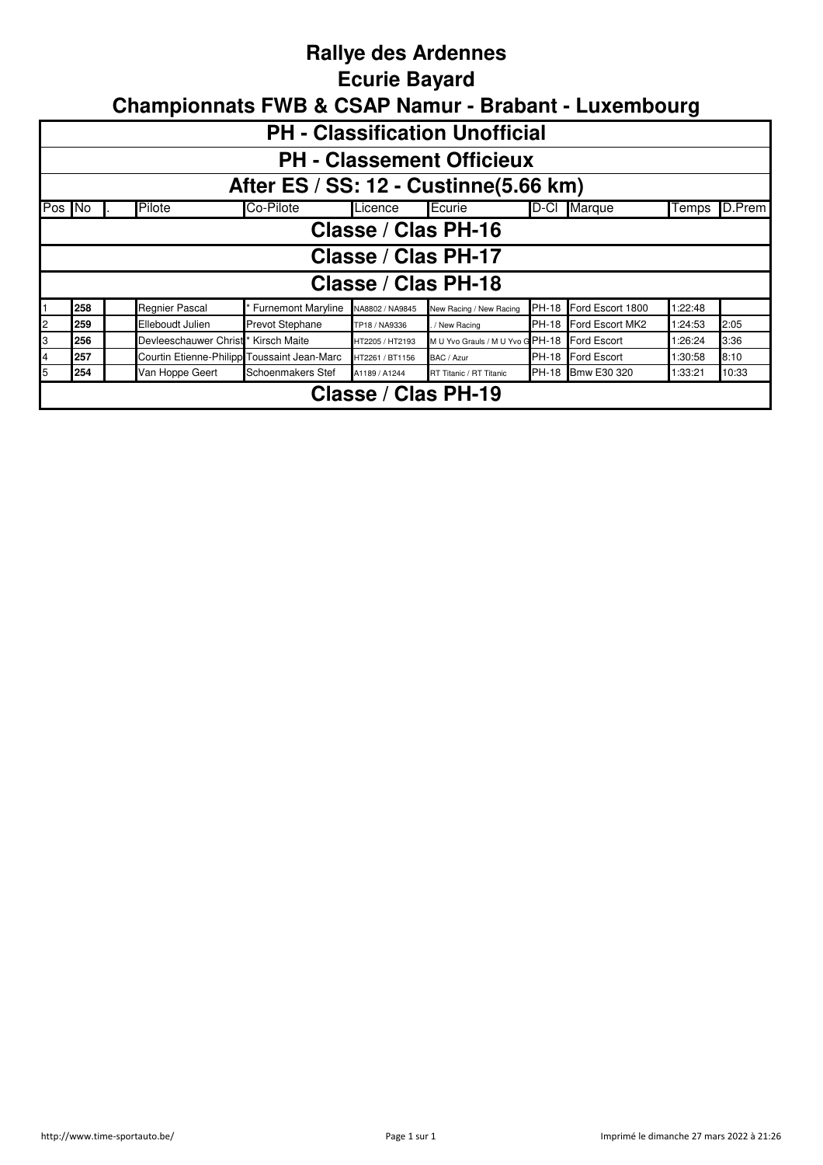## **Rallye des Ardennes**

#### **Ecurie Bayard**

|   | <b>PH - Classification Unofficial</b>                                                                                                      |  |                                             |                           |                 |                                  |              |                  |         |      |  |  |  |
|---|--------------------------------------------------------------------------------------------------------------------------------------------|--|---------------------------------------------|---------------------------|-----------------|----------------------------------|--------------|------------------|---------|------|--|--|--|
|   |                                                                                                                                            |  |                                             |                           |                 |                                  |              |                  |         |      |  |  |  |
|   | <b>PH - Classement Officieux</b>                                                                                                           |  |                                             |                           |                 |                                  |              |                  |         |      |  |  |  |
|   | After ES / SS: 12 - Custinne(5.66 km)                                                                                                      |  |                                             |                           |                 |                                  |              |                  |         |      |  |  |  |
|   | Pilote<br>Co-Pilote<br>D.Prem<br>Pos No<br>Ecurie<br>ID-CI<br>Marque<br>Licence<br>Temps                                                   |  |                                             |                           |                 |                                  |              |                  |         |      |  |  |  |
|   | Classe / Clas PH-16                                                                                                                        |  |                                             |                           |                 |                                  |              |                  |         |      |  |  |  |
|   | Classe / Clas PH-17                                                                                                                        |  |                                             |                           |                 |                                  |              |                  |         |      |  |  |  |
|   |                                                                                                                                            |  |                                             |                           |                 | Classe / Clas PH-18              |              |                  |         |      |  |  |  |
|   | 258                                                                                                                                        |  | Regnier Pascal                              | <b>Furnemont Maryline</b> | NA8802 / NA9845 | New Racing / New Racing          | <b>PH-18</b> | Ford Escort 1800 | 1:22:48 |      |  |  |  |
| 2 | 259                                                                                                                                        |  | Elleboudt Julien                            | <b>Prevot Stephane</b>    | TP18 / NA9336   | / New Racing                     | <b>PH-18</b> | Ford Escort MK2  | 1:24:53 | 2:05 |  |  |  |
| 3 | 256                                                                                                                                        |  | Devleeschauwer Christ                       | Kirsch Maite              | HT2205 / HT2193 | M U Yvo Grauls / M U Yvo G PH-18 |              | Ford Escort      | 1:26:24 | 3:36 |  |  |  |
| 4 | 257                                                                                                                                        |  | Courtin Etienne-Philipp Toussaint Jean-Marc |                           | HT2261 / BT1156 | BAC / Azur                       | <b>PH-18</b> | Ford Escort      | 1:30:58 | 8:10 |  |  |  |
| 5 | Bmw E30 320<br>10:33<br>254<br>Van Hoppe Geert<br><b>PH-18</b><br>Schoenmakers Stef<br>1:33:21<br>RT Titanic / RT Titanic<br>A1189 / A1244 |  |                                             |                           |                 |                                  |              |                  |         |      |  |  |  |
|   |                                                                                                                                            |  |                                             |                           |                 | Classe / Clas PH-19              |              |                  |         |      |  |  |  |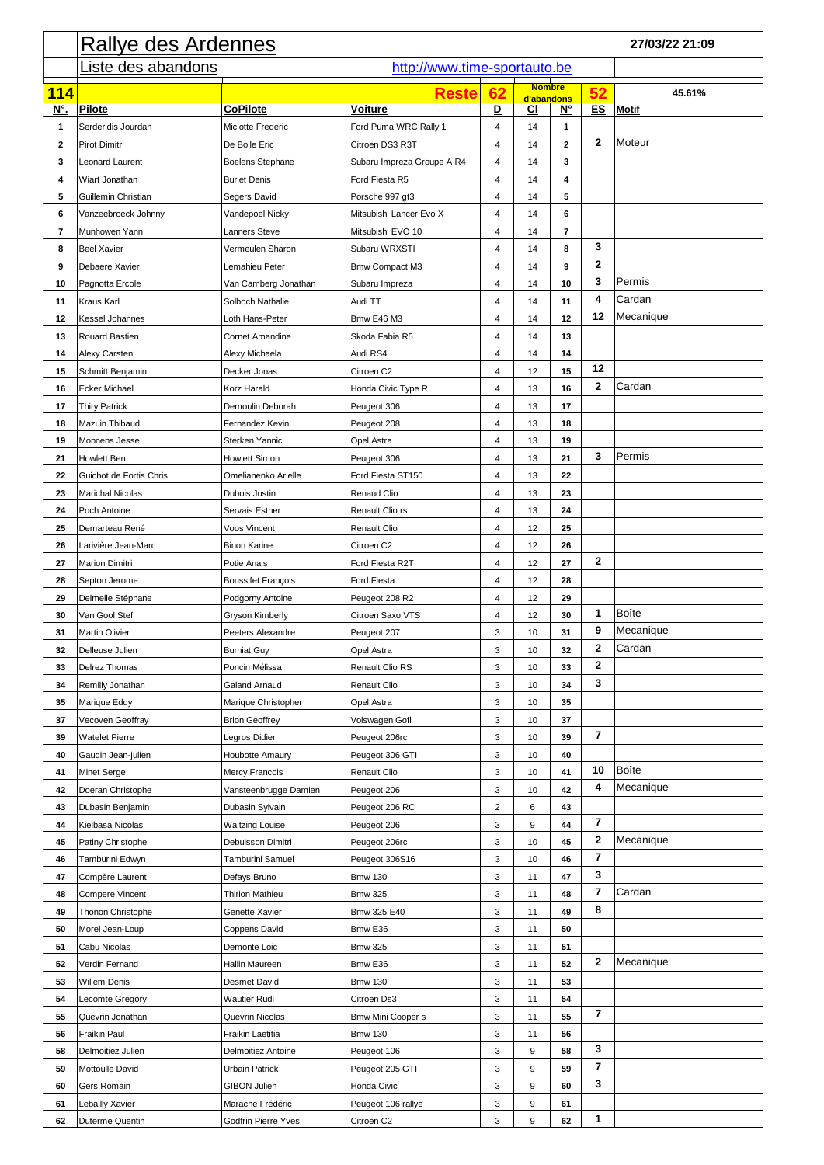|                         | <b>Rallye des Ardennes</b><br>http://www.time-sportauto.be |                           |                            |    |               |              |                  | 27/03/22 21:09 |
|-------------------------|------------------------------------------------------------|---------------------------|----------------------------|----|---------------|--------------|------------------|----------------|
|                         | Liste des abandons                                         |                           |                            |    |               |              |                  |                |
|                         |                                                            |                           |                            |    | <b>Nombre</b> |              |                  |                |
| <b>114</b>              |                                                            |                           | <b>Reste</b>               | 62 | d'abandons    |              | 52               | 45.61%         |
| <u>N°.</u>              | <b>Pilote</b>                                              | <b>CoPilote</b>           | <b>Voiture</b>             | D  | CI            | $N^{\circ}$  | ES               | <b>Motif</b>   |
| $\mathbf 1$             | Serderidis Jourdan                                         | Miclotte Frederic         | Ford Puma WRC Rally 1      | 4  | 14            | 1            |                  |                |
| $\mathbf{2}$            | Pirot Dimitri                                              | De Bolle Eric             | Citroen DS3 R3T            | 4  | 14            | $\mathbf{2}$ | $\mathbf{2}$     | Moteur         |
| 3                       | Leonard Laurent                                            | Boelens Stephane          | Subaru Impreza Groupe A R4 | 4  | 14            | 3            |                  |                |
| 4                       | <b>Wiart Jonathan</b>                                      | <b>Burlet Denis</b>       | Ford Fiesta R5             | 4  | 14            | 4            |                  |                |
| 5                       | Guillemin Christian                                        | Segers David              | Porsche 997 gt3            | 4  | 14            | 5            |                  |                |
| 6                       | Vanzeebroeck Johnny                                        | Vandepoel Nicky           | Mitsubishi Lancer Evo X    | 4  | 14            | 6            |                  |                |
| $\overline{\mathbf{7}}$ | Munhowen Yann                                              | Lanners Steve             | Mitsubishi EVO 10          | 4  | 14            | 7            |                  |                |
| 8                       | <b>Beel Xavier</b>                                         | Vermeulen Sharon          | Subaru WRXSTI              | 4  | 14            | 8            | 3                |                |
| 9                       | Debaere Xavier                                             | Lemahieu Peter            | <b>Bmw Compact M3</b>      | 4  | 14            | 9            | $\boldsymbol{2}$ |                |
| 10                      | Pagnotta Ercole                                            | Van Camberg Jonathan      | Subaru Impreza             | 4  | 14            | 10           | 3                | Permis         |
| 11                      | <b>Kraus Karl</b>                                          | Solboch Nathalie          | Audi TT                    | 4  | 14            | 11           | 4                | Cardan         |
| 12                      | <b>Kessel Johannes</b>                                     | Loth Hans-Peter           | <b>Bmw E46 M3</b>          | 4  | 14            | 12           | 12               | Mecanique      |
| 13                      | <b>Rouard Bastien</b>                                      | <b>Cornet Amandine</b>    | Skoda Fabia R5             | 4  | 14            | 13           |                  |                |
| 14                      | <b>Alexy Carsten</b>                                       | Alexy Michaela            | Audi RS4                   | 4  | 14            | 14           |                  |                |
| 15                      | Schmitt Benjamin                                           | Decker Jonas              | Citroen C2                 | 4  | 12            | 15           | 12               |                |
| 16                      | <b>Ecker Michael</b>                                       | Korz Harald               | Honda Civic Type R         | 4  | 13            | 16           | $\boldsymbol{2}$ | Cardan         |
| 17                      | <b>Thiry Patrick</b>                                       | Demoulin Deborah          | Peugeot 306                | 4  | 13            | 17           |                  |                |
| 18                      | Mazuin Thibaud                                             | Fernandez Kevin           | Peugeot 208                | 4  | 13            | 18           |                  |                |
| 19                      | Monnens Jesse                                              | <b>Sterken Yannic</b>     | Opel Astra                 | 4  | 13            | 19           |                  |                |
| 21                      | Howlett Ben                                                | Howlett Simon             | Peugeot 306                | 4  | 13            | 21           | 3                | Permis         |
| 22                      | Guichot de Fortis Chris                                    | Omelianenko Arielle       | Ford Fiesta ST150          | 4  | 13            | 22           |                  |                |
| 23                      | <b>Marichal Nicolas</b>                                    | Dubois Justin             | <b>Renaud Clio</b>         | 4  | 13            | 23           |                  |                |
| 24                      | Poch Antoine                                               | Servais Esther            | Renault Clio rs            | 4  | 13            | 24           |                  |                |
| 25                      | Demarteau René                                             | Voos Vincent              | <b>Renault Clio</b>        | 4  | 12            | 25           |                  |                |
| 26                      | Larivière Jean-Marc                                        | <b>Binon Karine</b>       | Citroen C2                 | 4  | 12            | 26           |                  |                |
| 27                      | <b>Marion Dimitri</b>                                      | Potie Anais               | Ford Fiesta R2T            | 4  | 12            | 27           | $\boldsymbol{2}$ |                |
| 28                      | Septon Jerome                                              | <b>Boussifet François</b> | <b>Ford Fiesta</b>         | 4  | 12            | 28           |                  |                |
| 29                      | Delmelle Stéphane                                          | Podgorny Antoine          | Peugeot 208 R2             | 4  | 12            | 29           |                  |                |
| 30                      | Van Gool Stef                                              | <b>Gryson Kimberly</b>    | Citroen Saxo VTS           | 4  | 12            | 30           | 1                | <b>Boîte</b>   |
| 31                      | <b>Martin Olivier</b>                                      | Peeters Alexandre         | Peugeot 207                | 3  | 10            | 31           | 9                | Mecanique      |
| 32                      | Delleuse Julien                                            | <b>Burniat Guy</b>        | Opel Astra                 | 3  | 10            | 32           | $\boldsymbol{2}$ | Cardan         |
| 33                      | Delrez Thomas                                              | Poncin Mélissa            | <b>Renault Clio RS</b>     | 3  | 10            | 33           | $\mathbf{2}$     |                |
| 34                      | Remilly Jonathan                                           | <b>Galand Arnaud</b>      | <b>Renault Clio</b>        | 3  | 10            | 34           | 3                |                |
| 35                      | Marique Eddy                                               | Marique Christopher       | Opel Astra                 | 3  | 10            | 35           |                  |                |
| 37                      | Vecoven Geoffray                                           | <b>Brion Geoffrey</b>     | Volswagen Gofl             | 3  | 10            | 37           |                  |                |
| 39                      | <b>Watelet Pierre</b>                                      | Legros Didier             | Peugeot 206rc              | 3  | 10            | 39           | $\overline{7}$   |                |
| 40                      | Gaudin Jean-julien                                         | <b>Houbotte Amaury</b>    | Peugeot 306 GTI            | 3  | 10            | 40           |                  |                |
| 41                      | <b>Minet Serge</b>                                         | Mercy Francois            | <b>Renault Clio</b>        | 3  | 10            | 41           | 10               | Boîte          |
| 42                      | Doeran Christophe                                          | Vansteenbrugge Damien     | Peugeot 206                | 3  | 10            | 42           | 4                | Mecanique      |
| 43                      | Dubasin Benjamin                                           | Dubasin Sylvain           | Peugeot 206 RC             | 2  | 6             | 43           |                  |                |
| 44                      | Kielbasa Nicolas                                           | <b>Waltzing Louise</b>    | Peugeot 206                | 3  | 9             | 44           | $\overline{7}$   |                |
| 45                      | Patiny Christophe                                          | Debuisson Dimitri         | Peugeot 206rc              | 3  | 10            | 45           | $\boldsymbol{2}$ | Mecanique      |
| 46                      | Tamburini Edwyn                                            | Tamburini Samuel          | Peugeot 306S16             | 3  | 10            | 46           | $\overline{7}$   |                |
| 47                      | Compère Laurent                                            | Defays Bruno              | <b>Bmw 130</b>             | 3  | 11            | 47           | $\mathbf{3}$     |                |
| 48                      | Compere Vincent                                            | <b>Thirion Mathieu</b>    | <b>Bmw 325</b>             | 3  | 11            | 48           | 7                | Cardan         |
| 49                      | Thonon Christophe                                          | Genette Xavier            | Bmw 325 E40                | 3  | 11            | 49           | 8                |                |
| 50                      | Morel Jean-Loup                                            | Coppens David             | Bmw E36                    | 3  | 11            | 50           |                  |                |
| 51                      | Cabu Nicolas                                               | Demonte Loic              | <b>Bmw 325</b>             | 3  | 11            | 51           |                  |                |
| 52                      | Verdin Fernand                                             | Hallin Maureen            | Bmw E36                    | 3  | 11            | 52           | $\boldsymbol{2}$ | Mecanique      |
| 53                      | <b>Willem Denis</b>                                        | <b>Desmet David</b>       | <b>Bmw 130i</b>            | 3  | 11            | 53           |                  |                |
| 54                      | Lecomte Gregory                                            | <b>Wautier Rudi</b>       | Citroen Ds3                | 3  | 11            | 54           |                  |                |
| 55                      | Quevrin Jonathan                                           | Quevrin Nicolas           | <b>Bmw Mini Cooper s</b>   | 3  | 11            | 55           | $\overline{7}$   |                |
| 56                      | <b>Fraikin Paul</b>                                        | Fraikin Laetitia          | <b>Bmw 130i</b>            | 3  | 11            | 56           |                  |                |
| 58                      | Delmoitiez Julien                                          | <b>Delmoitiez Antoine</b> | Peugeot 106                | 3  | 9             | 58           | $\mathbf{3}$     |                |
| 59                      | Mottoulle David                                            | <b>Urbain Patrick</b>     | Peugeot 205 GTI            | 3  | 9             | 59           | $\overline{7}$   |                |
| 60                      | <b>Gers Romain</b>                                         | <b>GIBON Julien</b>       | Honda Civic                | 3  | 9             | 60           | $\mathbf{3}$     |                |
| 61                      | Lebailly Xavier                                            | Marache Frédéric          | Peugeot 106 rallye         | 3  | 9             | 61           |                  |                |
| 62                      | Duterme Quentin                                            | Godfrin Pierre Yves       | Citroen C2                 | 3  | 9             | 62           | 1                |                |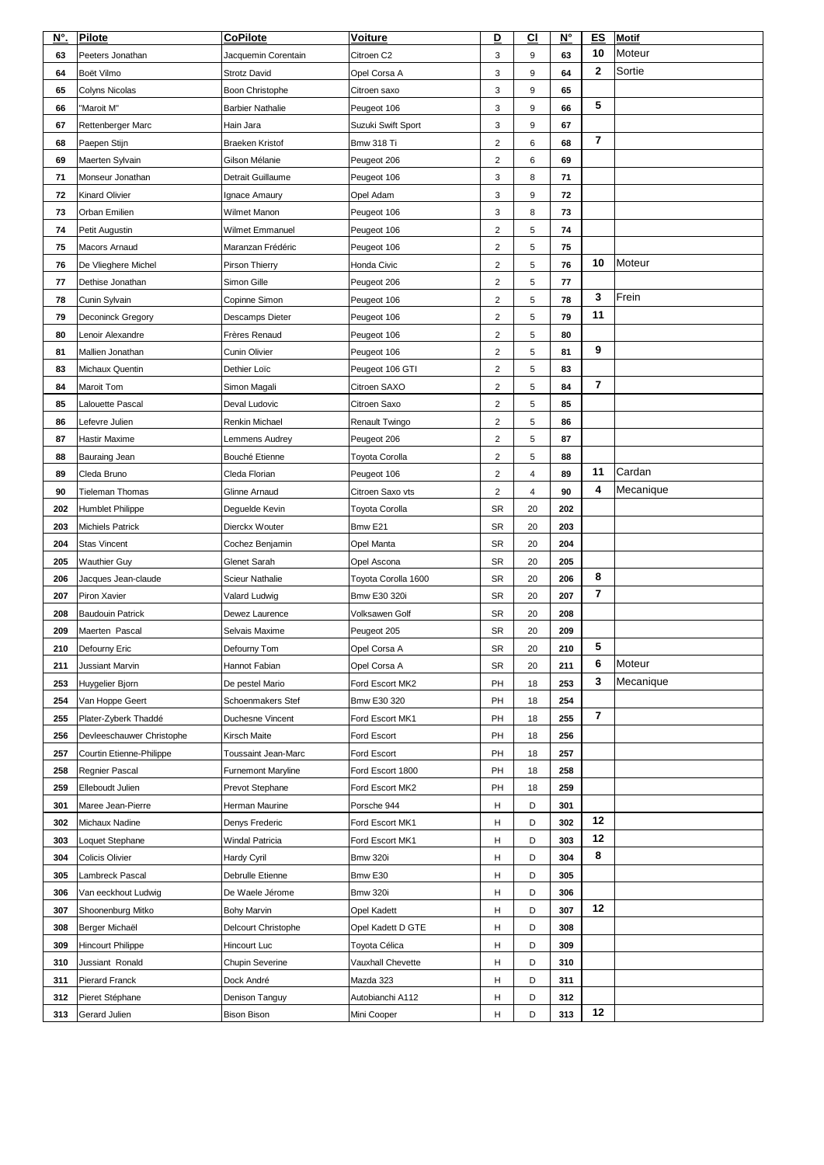| N°.      | <b>Pilote</b>                         | <b>CoPilote</b>                         | <b>Voiture</b>         | D                         | C <sub>1</sub> | $N^{\circ}$ | <b>ES</b>               | <b>Motif</b> |
|----------|---------------------------------------|-----------------------------------------|------------------------|---------------------------|----------------|-------------|-------------------------|--------------|
| 63       | Peeters Jonathan                      | Jacquemin Corentain                     | Citroen C <sub>2</sub> | 3                         | 9              | 63          | 10                      | Moteur       |
| 64       | Boët Vilmo                            | <b>Strotz David</b>                     | Opel Corsa A           | 3                         | 9              | 64          | $\mathbf 2$             | Sortie       |
| 65       | <b>Colyns Nicolas</b>                 | Boon Christophe                         | Citroen saxo           | $\ensuremath{\mathsf{3}}$ | 9              | 65          |                         |              |
| 66       | "Maroit M"                            | <b>Barbier Nathalie</b>                 | Peugeot 106            | 3                         | 9              | 66          | 5                       |              |
| 67       | Rettenberger Marc                     | Hain Jara                               | Suzuki Swift Sport     | 3                         | 9              | 67          |                         |              |
| 68       | Paepen Stijn                          | <b>Braeken Kristof</b>                  | <b>Bmw 318 Ti</b>      | $\overline{2}$            | 6              | 68          | $\overline{\mathbf{7}}$ |              |
| 69       | Maerten Sylvain                       | Gilson Mélanie                          | Peugeot 206            | $\overline{2}$            | 6              | 69          |                         |              |
| 71       | Monseur Jonathan                      | Detrait Guillaume                       | Peugeot 106            | 3                         | 8              | 71          |                         |              |
| 72       | <b>Kinard Olivier</b>                 | Ignace Amaury                           | Opel Adam              | 3                         | 9              | 72          |                         |              |
| 73       | Orban Emilien                         | Wilmet Manon                            | Peugeot 106            | 3                         | 8              | 73          |                         |              |
| 74       | Petit Augustin                        | <b>Wilmet Emmanuel</b>                  | Peugeot 106            | $\overline{2}$            | 5              | 74          |                         |              |
| 75       | Macors Arnaud                         | Maranzan Frédéric                       | Peugeot 106            | $\overline{2}$            | 5              | 75          |                         |              |
| 76       | De Vlieghere Michel                   | Pirson Thierry                          | Honda Civic            | $\overline{c}$            | 5              | 76          | 10                      | Moteur       |
| 77       | Dethise Jonathan                      | Simon Gille                             | Peugeot 206            | $\overline{2}$            | 5              | 77          |                         |              |
| 78       | Cunin Sylvain                         | Copinne Simon                           | Peugeot 106            | 2                         | 5              | 78          | 3                       | Frein        |
|          |                                       |                                         |                        |                           |                | 79          | 11                      |              |
| 79<br>80 | Deconinck Gregory<br>Lenoir Alexandre | Descamps Dieter<br><b>Frères Renaud</b> | Peugeot 106            | $\overline{2}$            | 5              | 80          |                         |              |
|          |                                       |                                         | Peugeot 106            | $\overline{2}$            | 5              |             | 9                       |              |
| 81       | Mallien Jonathan                      | <b>Cunin Olivier</b>                    | Peugeot 106            | $\overline{2}$            | 5              | 81          |                         |              |
| 83       | Michaux Quentin                       | Dethier Loïc                            | Peugeot 106 GTI        | $\overline{2}$            | 5              | 83          | $\overline{7}$          |              |
| 84       | <b>Maroit Tom</b>                     | Simon Magali                            | Citroen SAXO           | $\overline{2}$            | 5              | 84          |                         |              |
| 85       | <b>Lalouette Pascal</b>               | Deval Ludovic                           | Citroen Saxo           | $\overline{2}$            | 5              | 85          |                         |              |
| 86       | Lefevre Julien                        | Renkin Michael                          | Renault Twingo         | $\overline{c}$            | д              | 86          |                         |              |
| 87       | Hastir Maxime                         | Lemmens Audrey                          | Peugeot 206            | $\overline{2}$            | 5              | 87          |                         |              |
| 88       | <b>Bauraing Jean</b>                  | Bouché Etienne                          | Toyota Corolla         | $\overline{2}$            | 5              | 88          |                         |              |
| 89       | Cleda Bruno                           | Cleda Florian                           | Peugeot 106            | $\overline{2}$            | 4              | 89          | 11                      | Cardan       |
| 90       | <b>Tieleman Thomas</b>                | Glinne Arnaud                           | Citroen Saxo vts       | $\overline{2}$            | 4              | 90          | 4                       | Mecanique    |
| 202      | Humblet Philippe                      | Deguelde Kevin                          | Toyota Corolla         | <b>SR</b>                 | 20             | 202         |                         |              |
| 203      | <b>Michiels Patrick</b>               | Dierckx Wouter                          | Bmw E21                | <b>SR</b>                 | 20             | 203         |                         |              |
| 204      | <b>Stas Vincent</b>                   | Cochez Benjamin                         | Opel Manta             | <b>SR</b>                 | 20             | 204         |                         |              |
| 205      | <b>Wauthier Guy</b>                   | <b>Glenet Sarah</b>                     | Opel Ascona            | <b>SR</b>                 | 20             | 205         |                         |              |
| 206      | Jacques Jean-claude                   | <b>Scieur Nathalie</b>                  | Toyota Corolla 1600    | <b>SR</b>                 | 20             | 206         | 8                       |              |
| 207      | Piron Xavier                          | Valard Ludwig                           | Bmw E30 320i           | <b>SR</b>                 | 20             | 207         | $\overline{\mathbf{7}}$ |              |
| 208      | <b>Baudouin Patrick</b>               | Dewez Laurence                          | Volksawen Golf         | <b>SR</b>                 | 20             | 208         |                         |              |
| 209      | Maerten Pascal                        | Selvais Maxime                          | Peugeot 205            | <b>SR</b>                 | 20             | 209         |                         |              |
| 210      | Defourny Eric                         | Defourny Tom                            | Opel Corsa A           | <b>SR</b>                 | 20             | 210         | 5                       |              |
| 211      | <b>Jussiant Marvin</b>                | Hannot Fabian                           | Opel Corsa A           | <b>SR</b>                 | 20             | 211         | 6                       | Moteur       |
| 253      | Huygelier Bjorn                       | De pestel Mario                         | Ford Escort MK2        | PH                        | 18             | 253         | 3                       | Mecanique    |
| 254      | Van Hoppe Geert                       | <b>Schoenmakers Stef</b>                | Bmw E30 320            | PH                        | 18             | 254         |                         |              |
| 255      | Plater-Zyberk Thaddé                  | Duchesne Vincent                        | Ford Escort MK1        | PH                        | 18             | 255         | $\overline{\mathbf{7}}$ |              |
| 256      | Devleeschauwer Christophe             | <b>Kirsch Maite</b>                     | Ford Escort            | PH                        | 18             | 256         |                         |              |
| 257      | Courtin Etienne-Philippe              | <b>Toussaint Jean-Marc</b>              | Ford Escort            | PH                        | 18             | 257         |                         |              |
| 258      | Regnier Pascal                        | <b>Furnemont Maryline</b>               | Ford Escort 1800       | PH                        | 18             | 258         |                         |              |
| 259      | Elleboudt Julien                      | Prevot Stephane                         | Ford Escort MK2        | PH                        | 18             | 259         |                         |              |
| 301      | Maree Jean-Pierre                     | Herman Maurine                          | Porsche 944            | Н                         | D              | 301         |                         |              |
| 302      | Michaux Nadine                        | Denys Frederic                          | Ford Escort MK1        | H                         | D              | 302         | 12                      |              |
| 303      | Loquet Stephane                       | <b>Windal Patricia</b>                  | Ford Escort MK1        | Н                         | D              | 303         | 12                      |              |
| 304      | Colicis Olivier                       | <b>Hardy Cyril</b>                      | <b>Bmw 320i</b>        | н                         | D              | 304         | 8                       |              |
| 305      | Lambreck Pascal                       | Debrulle Etienne                        | Bmw E30                | н                         | D              | 305         |                         |              |
| 306      | Van eeckhout Ludwig                   | De Waele Jérome                         | <b>Bmw 320i</b>        | н                         | D              | 306         |                         |              |
| 307      | Shoonenburg Mitko                     | <b>Bohy Marvin</b>                      | <b>Opel Kadett</b>     | Н                         | D              | 307         | 12                      |              |
| 308      | Berger Michaël                        | Delcourt Christophe                     | Opel Kadett D GTE      | н                         | D              | 308         |                         |              |
| 309      | Hincourt Philippe                     | Hincourt Luc                            | Toyota Célica          | н                         | D              | 309         |                         |              |
| 310      | Jussiant Ronald                       | <b>Chupin Severine</b>                  | Vauxhall Chevette      | Н                         | D              | 310         |                         |              |
| 311      | Pierard Franck                        | Dock André                              | Mazda 323              | н                         | D              | 311         |                         |              |
| 312      | Pieret Stéphane                       | Denison Tanguy                          | Autobianchi A112       | Н                         | D              | 312         |                         |              |
| 313      | Gerard Julien                         | <b>Bison Bison</b>                      | Mini Cooper            | H                         | D              | 313         | 12                      |              |